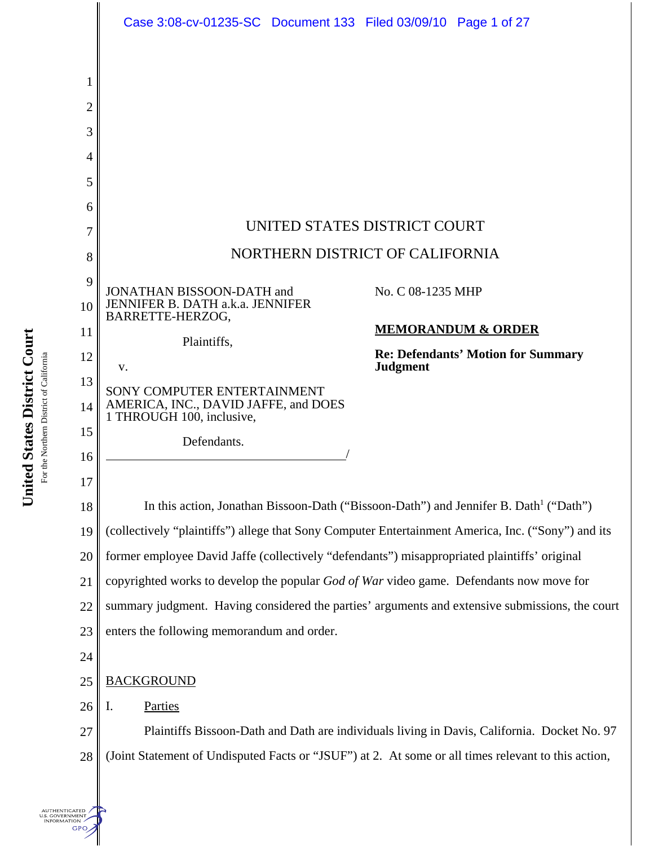

United States District Court **United States District Court** For the Northern District of California For the Northern District of California

> **UTHENTICATED** S. GOVERNMENT **GPO**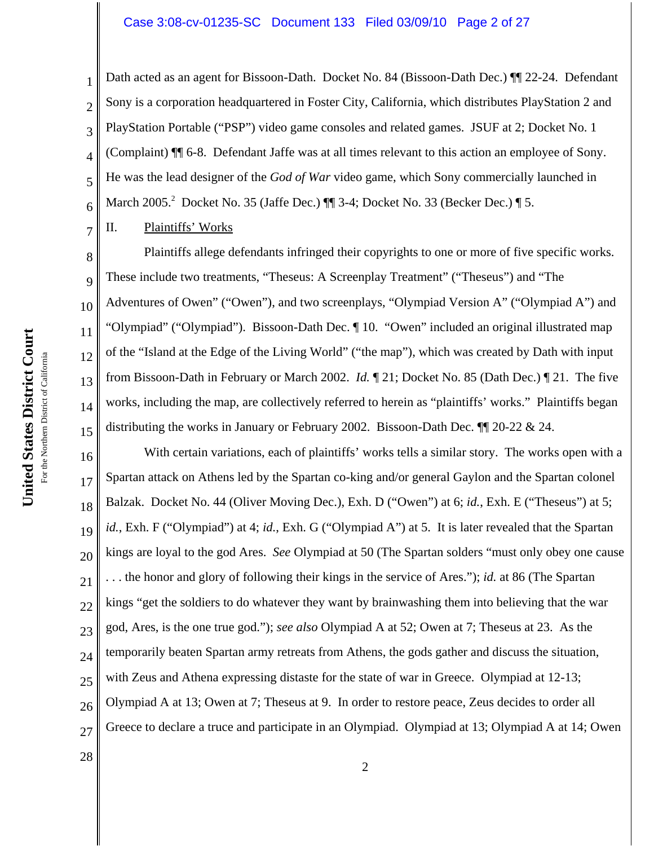#### Case 3:08-cv-01235-SC Document 133 Filed 03/09/10 Page 2 of 27

Dath acted as an agent for Bissoon-Dath. Docket No. 84 (Bissoon-Dath Dec.)  $\P$  22-24. Defendant Sony is a corporation headquartered in Foster City, California, which distributes PlayStation 2 and PlayStation Portable ("PSP") video game consoles and related games. JSUF at 2; Docket No. 1 (Complaint) ¶¶ 6-8. Defendant Jaffe was at all times relevant to this action an employee of Sony. He was the lead designer of the *God of War* video game, which Sony commercially launched in March 2005.<sup>2</sup> Docket No. 35 (Jaffe Dec.) ¶ 3-4; Docket No. 33 (Becker Dec.) ¶ 5.

II. Plaintiffs' Works

1

2

3

4

5

6

7

8

9

10

11

12

13

14

15

Plaintiffs allege defendants infringed their copyrights to one or more of five specific works. These include two treatments, "Theseus: A Screenplay Treatment" ("Theseus") and "The Adventures of Owen" ("Owen"), and two screenplays, "Olympiad Version A" ("Olympiad A") and "Olympiad" ("Olympiad"). Bissoon-Dath Dec. ¶ 10. "Owen" included an original illustrated map of the "Island at the Edge of the Living World" ("the map"), which was created by Dath with input from Bissoon-Dath in February or March 2002. *Id.* ¶ 21; Docket No. 85 (Dath Dec.) ¶ 21. The five works, including the map, are collectively referred to herein as "plaintiffs' works." Plaintiffs began distributing the works in January or February 2002. Bissoon-Dath Dec. ¶¶ 20-22 & 24.

16 17 18 19 20 21 22 23 24 25 26 27 With certain variations, each of plaintiffs' works tells a similar story. The works open with a Spartan attack on Athens led by the Spartan co-king and/or general Gaylon and the Spartan colonel Balzak. Docket No. 44 (Oliver Moving Dec.), Exh. D ("Owen") at 6; *id.*, Exh. E ("Theseus") at 5; *id.*, Exh. F ("Olympiad") at 4; *id.*, Exh. G ("Olympiad A") at 5. It is later revealed that the Spartan kings are loyal to the god Ares. *See* Olympiad at 50 (The Spartan solders "must only obey one cause . . . the honor and glory of following their kings in the service of Ares."); *id.* at 86 (The Spartan kings "get the soldiers to do whatever they want by brainwashing them into believing that the war god, Ares, is the one true god."); *see also* Olympiad A at 52; Owen at 7; Theseus at 23. As the temporarily beaten Spartan army retreats from Athens, the gods gather and discuss the situation, with Zeus and Athena expressing distaste for the state of war in Greece. Olympiad at 12-13; Olympiad A at 13; Owen at 7; Theseus at 9. In order to restore peace, Zeus decides to order all Greece to declare a truce and participate in an Olympiad. Olympiad at 13; Olympiad A at 14; Owen

United States District Court **United States District Court** For the Northern District of California For the Northern District of California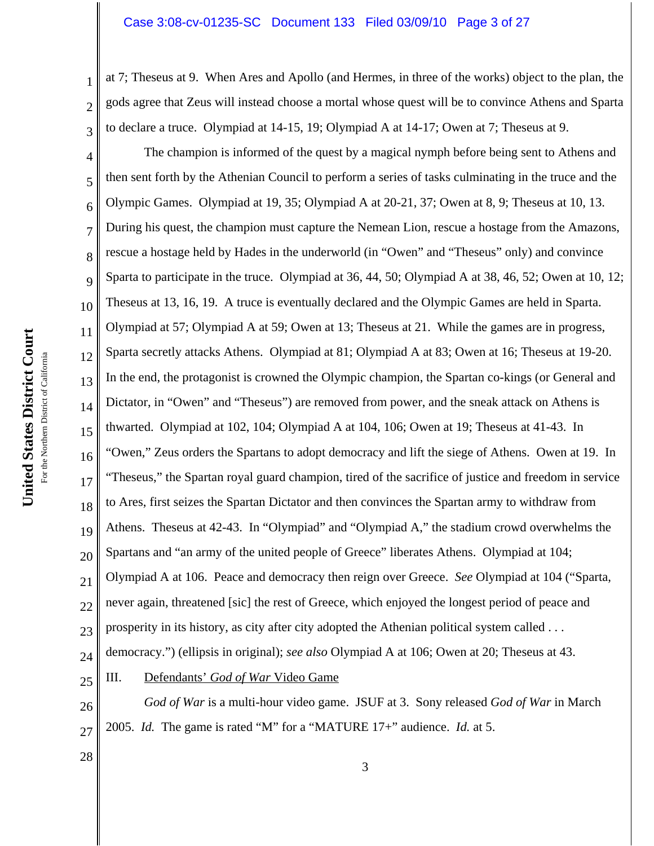#### Case 3:08-cv-01235-SC Document 133 Filed 03/09/10 Page 3 of 27

at 7; Theseus at 9. When Ares and Apollo (and Hermes, in three of the works) object to the plan, the gods agree that Zeus will instead choose a mortal whose quest will be to convince Athens and Sparta to declare a truce. Olympiad at 14-15, 19; Olympiad A at 14-17; Owen at 7; Theseus at 9.

4 5 6 7 8 9 10 11 12 13 14 15 16 17 18 19 20 21 22 23 24 25 The champion is informed of the quest by a magical nymph before being sent to Athens and then sent forth by the Athenian Council to perform a series of tasks culminating in the truce and the Olympic Games. Olympiad at 19, 35; Olympiad A at 20-21, 37; Owen at 8, 9; Theseus at 10, 13. During his quest, the champion must capture the Nemean Lion, rescue a hostage from the Amazons, rescue a hostage held by Hades in the underworld (in "Owen" and "Theseus" only) and convince Sparta to participate in the truce. Olympiad at 36, 44, 50; Olympiad A at 38, 46, 52; Owen at 10, 12; Theseus at 13, 16, 19. A truce is eventually declared and the Olympic Games are held in Sparta. Olympiad at 57; Olympiad A at 59; Owen at 13; Theseus at 21. While the games are in progress, Sparta secretly attacks Athens. Olympiad at 81; Olympiad A at 83; Owen at 16; Theseus at 19-20. In the end, the protagonist is crowned the Olympic champion, the Spartan co-kings (or General and Dictator, in "Owen" and "Theseus") are removed from power, and the sneak attack on Athens is thwarted. Olympiad at 102, 104; Olympiad A at 104, 106; Owen at 19; Theseus at 41-43. In "Owen," Zeus orders the Spartans to adopt democracy and lift the siege of Athens. Owen at 19. In "Theseus," the Spartan royal guard champion, tired of the sacrifice of justice and freedom in service to Ares, first seizes the Spartan Dictator and then convinces the Spartan army to withdraw from Athens. Theseus at 42-43. In "Olympiad" and "Olympiad A," the stadium crowd overwhelms the Spartans and "an army of the united people of Greece" liberates Athens. Olympiad at 104; Olympiad A at 106. Peace and democracy then reign over Greece. *See* Olympiad at 104 ("Sparta, never again, threatened [sic] the rest of Greece, which enjoyed the longest period of peace and prosperity in its history, as city after city adopted the Athenian political system called . . . democracy.") (ellipsis in original); *see also* Olympiad A at 106; Owen at 20; Theseus at 43. III. Defendants' *God of War* Video Game

26 27 *God of War* is a multi-hour video game. JSUF at 3. Sony released *God of War* in March 2005. *Id.* The game is rated "M" for a "MATURE 17+" audience. *Id.* at 5.

United States District Court **United States District Court** For the Northern District of California For the Northern District of California

28

1

2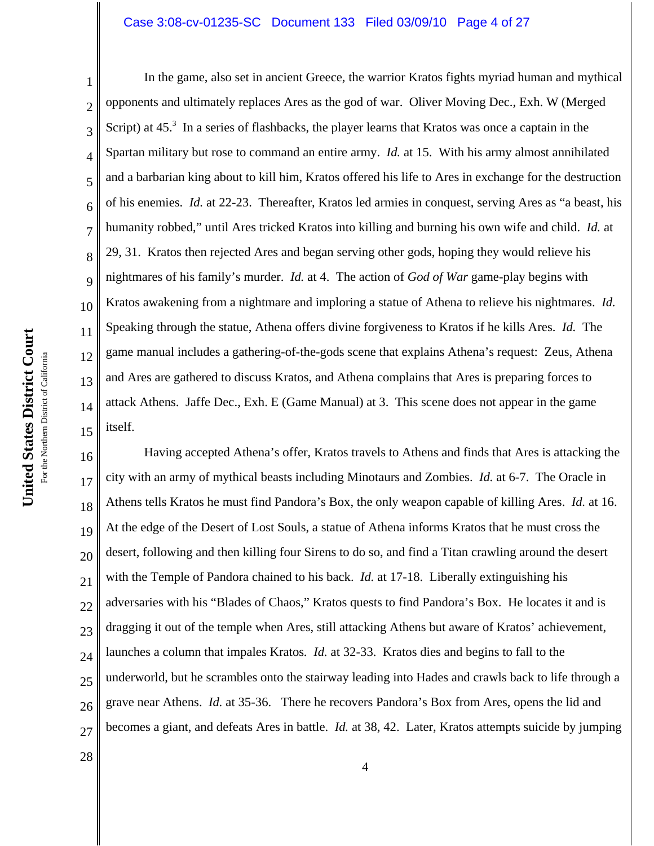#### Case 3:08-cv-01235-SC Document 133 Filed 03/09/10 Page 4 of 27

1 2 3 4 5 6 7 8 9 10 11 12 13 14 15 In the game, also set in ancient Greece, the warrior Kratos fights myriad human and mythical opponents and ultimately replaces Ares as the god of war. Oliver Moving Dec., Exh. W (Merged Script) at  $45<sup>3</sup>$  In a series of flashbacks, the player learns that Kratos was once a captain in the Spartan military but rose to command an entire army. *Id.* at 15. With his army almost annihilated and a barbarian king about to kill him, Kratos offered his life to Ares in exchange for the destruction of his enemies. *Id.* at 22-23. Thereafter, Kratos led armies in conquest, serving Ares as "a beast, his humanity robbed," until Ares tricked Kratos into killing and burning his own wife and child. *Id.* at 29, 31. Kratos then rejected Ares and began serving other gods, hoping they would relieve his nightmares of his family's murder. *Id.* at 4. The action of *God of War* game-play begins with Kratos awakening from a nightmare and imploring a statue of Athena to relieve his nightmares. *Id.* Speaking through the statue, Athena offers divine forgiveness to Kratos if he kills Ares. *Id.* The game manual includes a gathering-of-the-gods scene that explains Athena's request: Zeus, Athena and Ares are gathered to discuss Kratos, and Athena complains that Ares is preparing forces to attack Athens. Jaffe Dec., Exh. E (Game Manual) at 3. This scene does not appear in the game itself.

16 17 18 19 20 21 22 23 24 25 26 27 Having accepted Athena's offer, Kratos travels to Athens and finds that Ares is attacking the city with an army of mythical beasts including Minotaurs and Zombies. *Id.* at 6-7. The Oracle in Athens tells Kratos he must find Pandora's Box, the only weapon capable of killing Ares. *Id.* at 16. At the edge of the Desert of Lost Souls, a statue of Athena informs Kratos that he must cross the desert, following and then killing four Sirens to do so, and find a Titan crawling around the desert with the Temple of Pandora chained to his back. *Id.* at 17-18. Liberally extinguishing his adversaries with his "Blades of Chaos," Kratos quests to find Pandora's Box. He locates it and is dragging it out of the temple when Ares, still attacking Athens but aware of Kratos' achievement, launches a column that impales Kratos*. Id.* at 32-33. Kratos dies and begins to fall to the underworld, but he scrambles onto the stairway leading into Hades and crawls back to life through a grave near Athens. *Id.* at 35-36. There he recovers Pandora's Box from Ares, opens the lid and becomes a giant, and defeats Ares in battle. *Id.* at 38, 42. Later, Kratos attempts suicide by jumping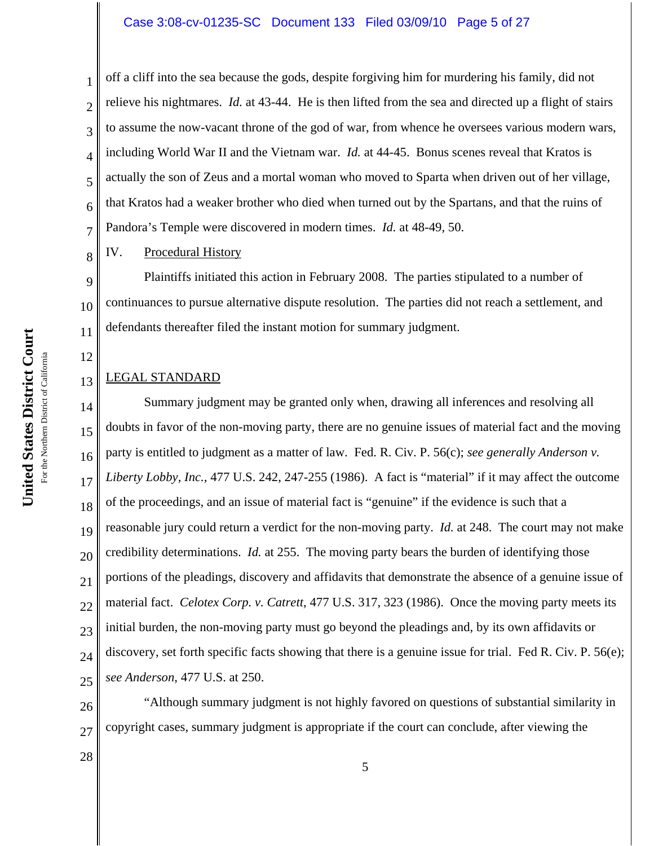off a cliff into the sea because the gods, despite forgiving him for murdering his family, did not relieve his nightmares. *Id.* at 43-44. He is then lifted from the sea and directed up a flight of stairs to assume the now-vacant throne of the god of war, from whence he oversees various modern wars, including World War II and the Vietnam war. *Id.* at 44-45. Bonus scenes reveal that Kratos is actually the son of Zeus and a mortal woman who moved to Sparta when driven out of her village, that Kratos had a weaker brother who died when turned out by the Spartans, and that the ruins of Pandora's Temple were discovered in modern times. *Id.* at 48-49, 50.

IV. Procedural History

1

2

3

4

5

6

7

8

12

13

28

9 10 11 Plaintiffs initiated this action in February 2008. The parties stipulated to a number of continuances to pursue alternative dispute resolution. The parties did not reach a settlement, and defendants thereafter filed the instant motion for summary judgment.

### LEGAL STANDARD

14 15 16 17 18 19 20 21 22 23 24 25 Summary judgment may be granted only when, drawing all inferences and resolving all doubts in favor of the non-moving party, there are no genuine issues of material fact and the moving party is entitled to judgment as a matter of law. Fed. R. Civ. P. 56(c); *see generally Anderson v. Liberty Lobby, Inc.*, 477 U.S. 242, 247-255 (1986). A fact is "material" if it may affect the outcome of the proceedings, and an issue of material fact is "genuine" if the evidence is such that a reasonable jury could return a verdict for the non-moving party. *Id.* at 248. The court may not make credibility determinations. *Id.* at 255. The moving party bears the burden of identifying those portions of the pleadings, discovery and affidavits that demonstrate the absence of a genuine issue of material fact. *Celotex Corp. v. Catrett*, 477 U.S. 317, 323 (1986). Once the moving party meets its initial burden, the non-moving party must go beyond the pleadings and, by its own affidavits or discovery, set forth specific facts showing that there is a genuine issue for trial. Fed R. Civ. P. 56(e); *see Anderson*, 477 U.S. at 250.

26 27 "Although summary judgment is not highly favored on questions of substantial similarity in copyright cases, summary judgment is appropriate if the court can conclude, after viewing the

United States District Court **United States District Court** For the Northern District of California For the Northern District of California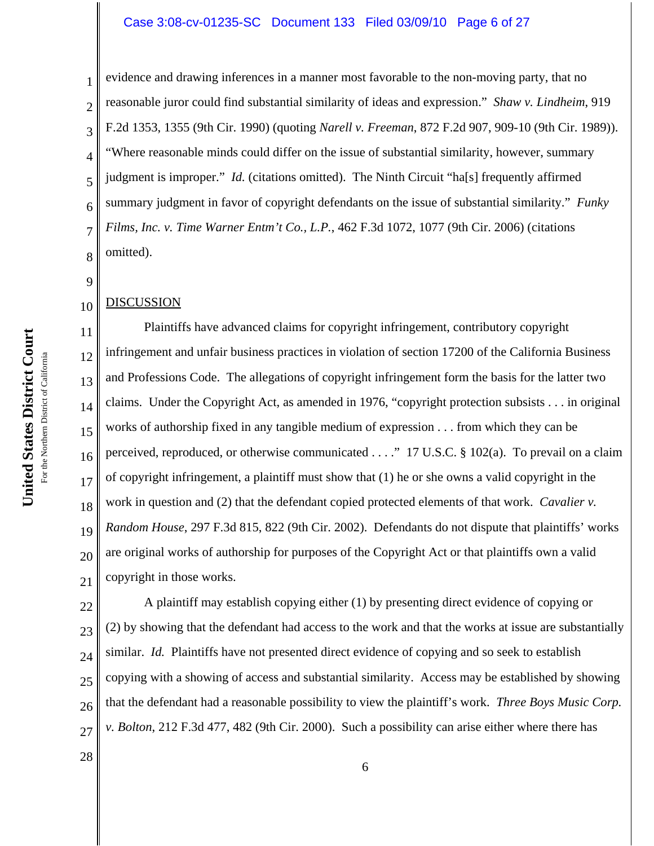#### Case 3:08-cv-01235-SC Document 133 Filed 03/09/10 Page 6 of 27

2 3 4 5 6 7 8 evidence and drawing inferences in a manner most favorable to the non-moving party, that no reasonable juror could find substantial similarity of ideas and expression." *Shaw v. Lindheim*, 919 F.2d 1353, 1355 (9th Cir. 1990) (quoting *Narell v. Freeman*, 872 F.2d 907, 909-10 (9th Cir. 1989)). "Where reasonable minds could differ on the issue of substantial similarity, however, summary judgment is improper." *Id.* (citations omitted). The Ninth Circuit "ha[s] frequently affirmed summary judgment in favor of copyright defendants on the issue of substantial similarity." *Funky Films, Inc. v. Time Warner Entm't Co., L.P.*, 462 F.3d 1072, 1077 (9th Cir. 2006) (citations omitted).

#### 10 DISCUSSION

1

9

11 12 13 14 15 16 17 18 19 20 21 Plaintiffs have advanced claims for copyright infringement, contributory copyright infringement and unfair business practices in violation of section 17200 of the California Business and Professions Code. The allegations of copyright infringement form the basis for the latter two claims. Under the Copyright Act, as amended in 1976, "copyright protection subsists . . . in original works of authorship fixed in any tangible medium of expression . . . from which they can be perceived, reproduced, or otherwise communicated . . . ." 17 U.S.C. § 102(a). To prevail on a claim of copyright infringement, a plaintiff must show that (1) he or she owns a valid copyright in the work in question and (2) that the defendant copied protected elements of that work. *Cavalier v. Random House*, 297 F.3d 815, 822 (9th Cir. 2002). Defendants do not dispute that plaintiffs' works are original works of authorship for purposes of the Copyright Act or that plaintiffs own a valid copyright in those works.

22 23 24 25 26 27 A plaintiff may establish copying either (1) by presenting direct evidence of copying or (2) by showing that the defendant had access to the work and that the works at issue are substantially similar. *Id.* Plaintiffs have not presented direct evidence of copying and so seek to establish copying with a showing of access and substantial similarity. Access may be established by showing that the defendant had a reasonable possibility to view the plaintiff's work. *Three Boys Music Corp. v. Bolton*, 212 F.3d 477, 482 (9th Cir. 2000). Such a possibility can arise either where there has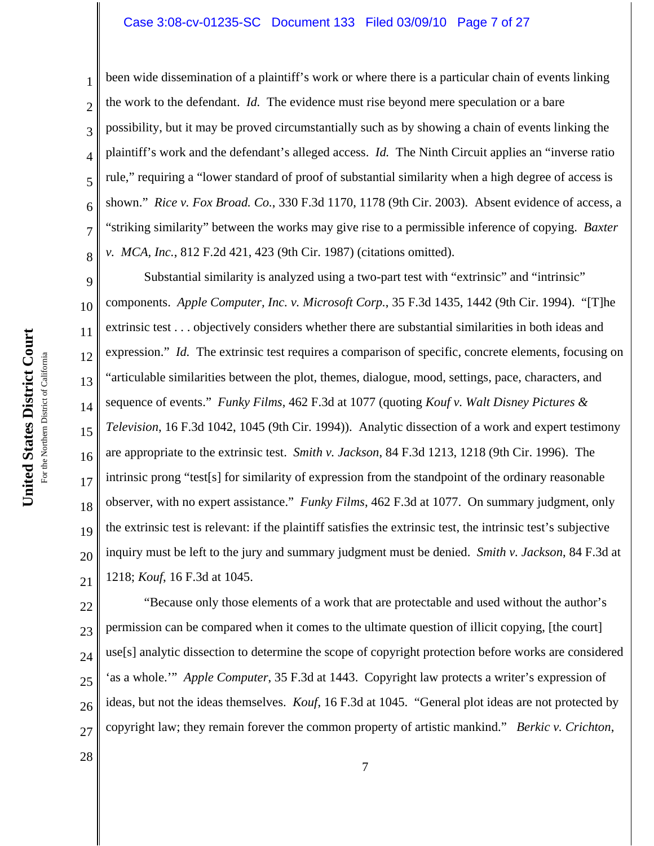#### Case 3:08-cv-01235-SC Document 133 Filed 03/09/10 Page 7 of 27

been wide dissemination of a plaintiff's work or where there is a particular chain of events linking the work to the defendant. *Id.* The evidence must rise beyond mere speculation or a bare possibility, but it may be proved circumstantially such as by showing a chain of events linking the plaintiff's work and the defendant's alleged access. *Id.* The Ninth Circuit applies an "inverse ratio rule," requiring a "lower standard of proof of substantial similarity when a high degree of access is shown." *Rice v. Fox Broad. Co.*, 330 F.3d 1170, 1178 (9th Cir. 2003). Absent evidence of access, a "striking similarity" between the works may give rise to a permissible inference of copying. *Baxter v. MCA, Inc.*, 812 F.2d 421, 423 (9th Cir. 1987) (citations omitted).

9 10 11 12 13 14 15 16 17 18 19 20 21 Substantial similarity is analyzed using a two-part test with "extrinsic" and "intrinsic" components. *Apple Computer, Inc. v. Microsoft Corp.*, 35 F.3d 1435, 1442 (9th Cir. 1994). "[T]he extrinsic test . . . objectively considers whether there are substantial similarities in both ideas and expression." *Id.* The extrinsic test requires a comparison of specific, concrete elements, focusing on "articulable similarities between the plot, themes, dialogue, mood, settings, pace, characters, and sequence of events." *Funky Films*, 462 F.3d at 1077 (quoting *Kouf v. Walt Disney Pictures & Television*, 16 F.3d 1042, 1045 (9th Cir. 1994)). Analytic dissection of a work and expert testimony are appropriate to the extrinsic test. *Smith v. Jackson*, 84 F.3d 1213, 1218 (9th Cir. 1996). The intrinsic prong "test[s] for similarity of expression from the standpoint of the ordinary reasonable observer, with no expert assistance." *Funky Films*, 462 F.3d at 1077. On summary judgment, only the extrinsic test is relevant: if the plaintiff satisfies the extrinsic test, the intrinsic test's subjective inquiry must be left to the jury and summary judgment must be denied. *Smith v. Jackson*, 84 F.3d at 1218; *Kouf*, 16 F.3d at 1045.

22 23 24 25 26 27 "Because only those elements of a work that are protectable and used without the author's permission can be compared when it comes to the ultimate question of illicit copying, [the court] use[s] analytic dissection to determine the scope of copyright protection before works are considered 'as a whole.'" *Apple Computer*, 35 F.3d at 1443. Copyright law protects a writer's expression of ideas, but not the ideas themselves. *Kouf*, 16 F.3d at 1045. "General plot ideas are not protected by copyright law; they remain forever the common property of artistic mankind." *Berkic v. Crichton*,

1

2

3

4

5

6

7

8

28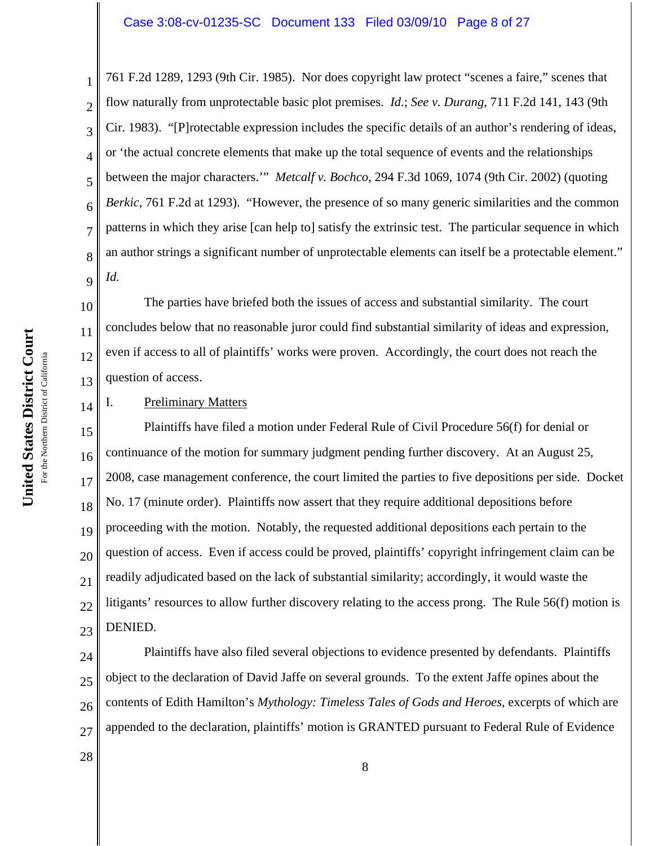### Case 3:08-cv-01235-SC Document 133 Filed 03/09/10 Page 8 of 27

1

2 3 4 5 761 F.2d 1289, 1293 (9th Cir. 1985). Nor does copyright law protect "scenes a faire," scenes that flow naturally from unprotectable basic plot premises. *Id.*; *See v. Durang*, 711 F.2d 141, 143 (9th Cir. 1983). "[P]rotectable expression includes the specific details of an author's rendering of ideas, or 'the actual concrete elements that make up the total sequence of events and the relationships between the major characters.'" *Metcalf v. Bochco*, 294 F.3d 1069, 1074 (9th Cir. 2002) (quoting *Berkic*, 761 F.2d at 1293). "However, the presence of so many generic similarities and the common patterns in which they arise [can help to] satisfy the extrinsic test. The particular sequence in which an author strings a significant number of unprotectable elements can itself be a protectable element." *Id.*

The parties have briefed both the issues of access and substantial similarity. The court concludes below that no reasonable juror could find substantial similarity of ideas and expression, even if access to all of plaintiffs' works were proven. Accordingly, the court does not reach the question of access.

### I. Preliminary Matters

17 18 19 20 21 22 23 Plaintiffs have filed a motion under Federal Rule of Civil Procedure 56(f) for denial or continuance of the motion for summary judgment pending further discovery. At an August 25, 2008, case management conference, the court limited the parties to five depositions per side. Docket No. 17 (minute order). Plaintiffs now assert that they require additional depositions before proceeding with the motion. Notably, the requested additional depositions each pertain to the question of access. Even if access could be proved, plaintiffs' copyright infringement claim can be readily adjudicated based on the lack of substantial similarity; accordingly, it would waste the litigants' resources to allow further discovery relating to the access prong. The Rule 56(f) motion is DENIED.

24 25 26 27 Plaintiffs have also filed several objections to evidence presented by defendants. Plaintiffs object to the declaration of David Jaffe on several grounds. To the extent Jaffe opines about the contents of Edith Hamilton's *Mythology: Timeless Tales of Gods and Heroes*, excerpts of which are appended to the declaration, plaintiffs' motion is GRANTED pursuant to Federal Rule of Evidence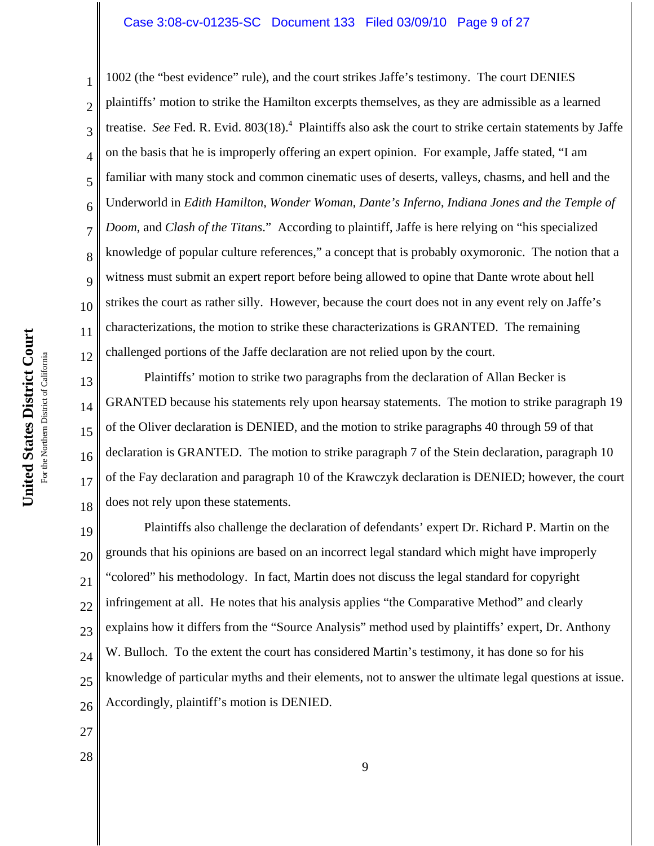#### Case 3:08-cv-01235-SC Document 133 Filed 03/09/10 Page 9 of 27

2 3 4 5 6 7 8 9 10 12 1002 (the "best evidence" rule), and the court strikes Jaffe's testimony. The court DENIES plaintiffs' motion to strike the Hamilton excerpts themselves, as they are admissible as a learned treatise. See Fed. R. Evid. 803(18).<sup>4</sup> Plaintiffs also ask the court to strike certain statements by Jaffe on the basis that he is improperly offering an expert opinion. For example, Jaffe stated, "I am familiar with many stock and common cinematic uses of deserts, valleys, chasms, and hell and the Underworld in *Edith Hamilton*, *Wonder Woman*, *Dante's Inferno*, *Indiana Jones and the Temple of Doom*, and *Clash of the Titans*." According to plaintiff, Jaffe is here relying on "his specialized knowledge of popular culture references," a concept that is probably oxymoronic. The notion that a witness must submit an expert report before being allowed to opine that Dante wrote about hell strikes the court as rather silly. However, because the court does not in any event rely on Jaffe's characterizations, the motion to strike these characterizations is GRANTED. The remaining challenged portions of the Jaffe declaration are not relied upon by the court.

13 14 15 16 17 18 Plaintiffs' motion to strike two paragraphs from the declaration of Allan Becker is GRANTED because his statements rely upon hearsay statements. The motion to strike paragraph 19 of the Oliver declaration is DENIED, and the motion to strike paragraphs 40 through 59 of that declaration is GRANTED. The motion to strike paragraph 7 of the Stein declaration, paragraph 10 of the Fay declaration and paragraph 10 of the Krawczyk declaration is DENIED; however, the court does not rely upon these statements.

19 20 21 22 23 24 25 26 Plaintiffs also challenge the declaration of defendants' expert Dr. Richard P. Martin on the grounds that his opinions are based on an incorrect legal standard which might have improperly "colored" his methodology. In fact, Martin does not discuss the legal standard for copyright infringement at all. He notes that his analysis applies "the Comparative Method" and clearly explains how it differs from the "Source Analysis" method used by plaintiffs' expert, Dr. Anthony W. Bulloch. To the extent the court has considered Martin's testimony, it has done so for his knowledge of particular myths and their elements, not to answer the ultimate legal questions at issue. Accordingly, plaintiff's motion is DENIED.

- 27
- 28

1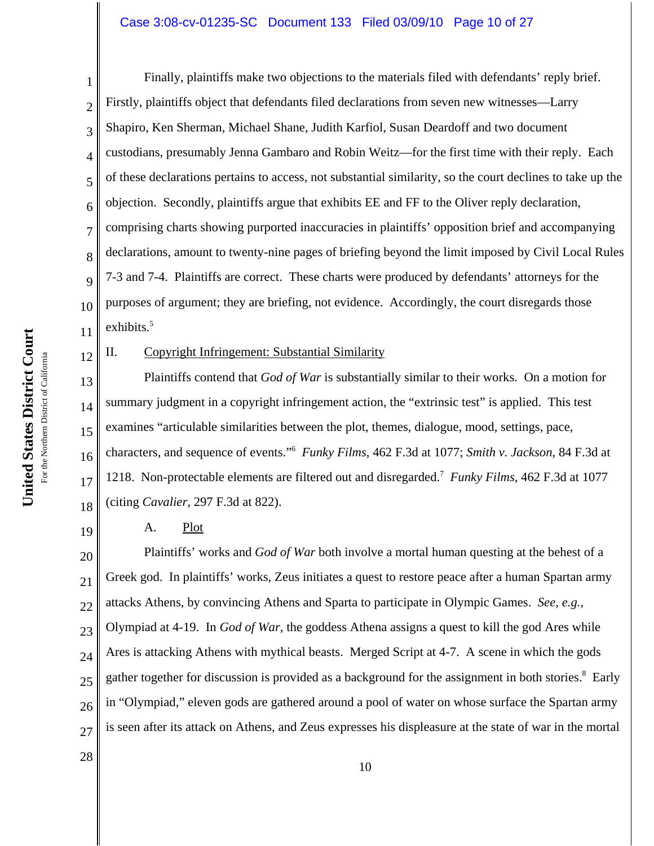## Case 3:08-cv-01235-SC Document 133 Filed 03/09/10 Page 10 of 27

12

19

1 2 3 4 5 6 7 8 9 10 11 Finally, plaintiffs make two objections to the materials filed with defendants' reply brief. Firstly, plaintiffs object that defendants filed declarations from seven new witnesses—Larry Shapiro, Ken Sherman, Michael Shane, Judith Karfiol, Susan Deardoff and two document custodians, presumably Jenna Gambaro and Robin Weitz—for the first time with their reply. Each of these declarations pertains to access, not substantial similarity, so the court declines to take up the objection. Secondly, plaintiffs argue that exhibits EE and FF to the Oliver reply declaration, comprising charts showing purported inaccuracies in plaintiffs' opposition brief and accompanying declarations, amount to twenty-nine pages of briefing beyond the limit imposed by Civil Local Rules 7-3 and 7-4. Plaintiffs are correct. These charts were produced by defendants' attorneys for the purposes of argument; they are briefing, not evidence. Accordingly, the court disregards those exhibits.<sup>5</sup>

II. Copyright Infringement: Substantial Similarity

13 14 15 16 17 18 Plaintiffs contend that *God of War* is substantially similar to their works. On a motion for summary judgment in a copyright infringement action, the "extrinsic test" is applied. This test examines "articulable similarities between the plot, themes, dialogue, mood, settings, pace, characters, and sequence of events."6 *Funky Films*, 462 F.3d at 1077; *Smith v. Jackson*, 84 F.3d at 1218. Non-protectable elements are filtered out and disregarded.7 *Funky Films*, 462 F.3d at 1077 (citing *Cavalier*, 297 F.3d at 822).

A. Plot

20 21 22 23 24 25 26 27 Plaintiffs' works and *God of War* both involve a mortal human questing at the behest of a Greek god. In plaintiffs' works, Zeus initiates a quest to restore peace after a human Spartan army attacks Athens, by convincing Athens and Sparta to participate in Olympic Games. *See, e.g.,* Olympiad at 4-19. In *God of War*, the goddess Athena assigns a quest to kill the god Ares while Ares is attacking Athens with mythical beasts. Merged Script at 4-7. A scene in which the gods gather together for discussion is provided as a background for the assignment in both stories.<sup>8</sup> Early in "Olympiad," eleven gods are gathered around a pool of water on whose surface the Spartan army is seen after its attack on Athens, and Zeus expresses his displeasure at the state of war in the mortal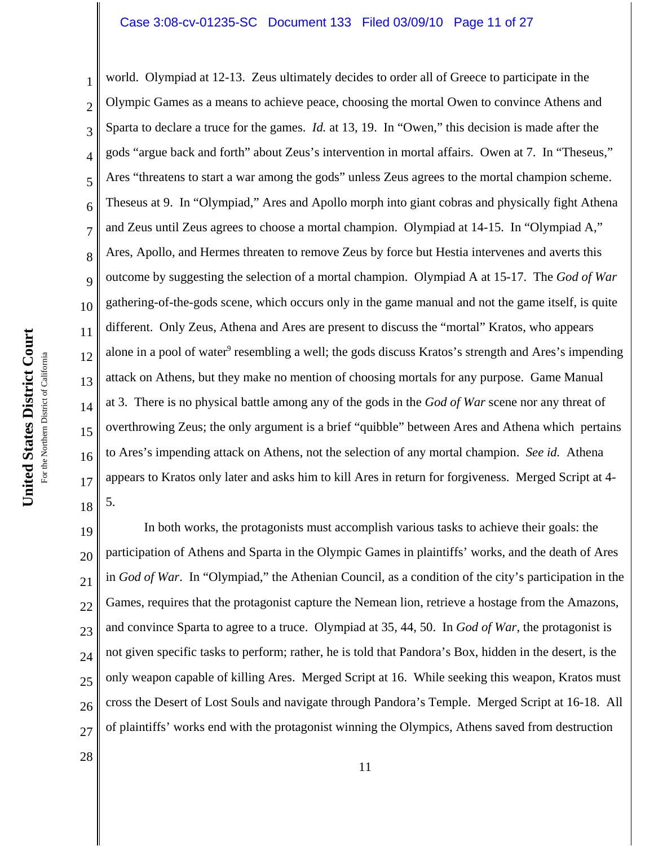#### Case 3:08-cv-01235-SC Document 133 Filed 03/09/10 Page 11 of 27

2 3 4 5 6 7 8 9 10 12 13 14 15 16 18 world. Olympiad at 12-13. Zeus ultimately decides to order all of Greece to participate in the Olympic Games as a means to achieve peace, choosing the mortal Owen to convince Athens and Sparta to declare a truce for the games. *Id.* at 13, 19. In "Owen," this decision is made after the gods "argue back and forth" about Zeus's intervention in mortal affairs. Owen at 7. In "Theseus," Ares "threatens to start a war among the gods" unless Zeus agrees to the mortal champion scheme. Theseus at 9. In "Olympiad," Ares and Apollo morph into giant cobras and physically fight Athena and Zeus until Zeus agrees to choose a mortal champion. Olympiad at 14-15. In "Olympiad A," Ares, Apollo, and Hermes threaten to remove Zeus by force but Hestia intervenes and averts this outcome by suggesting the selection of a mortal champion. Olympiad A at 15-17. The *God of War* gathering-of-the-gods scene, which occurs only in the game manual and not the game itself, is quite different. Only Zeus, Athena and Ares are present to discuss the "mortal" Kratos, who appears alone in a pool of water<sup>9</sup> resembling a well; the gods discuss Kratos's strength and Ares's impending attack on Athens, but they make no mention of choosing mortals for any purpose. Game Manual at 3. There is no physical battle among any of the gods in the *God of War* scene nor any threat of overthrowing Zeus; the only argument is a brief "quibble" between Ares and Athena which pertains to Ares's impending attack on Athens, not the selection of any mortal champion. *See id.* Athena appears to Kratos only later and asks him to kill Ares in return for forgiveness. Merged Script at 4- 5.

19 20 21 22 23 24 25 26 27 In both works, the protagonists must accomplish various tasks to achieve their goals: the participation of Athens and Sparta in the Olympic Games in plaintiffs' works, and the death of Ares in *God of War*. In "Olympiad," the Athenian Council, as a condition of the city's participation in the Games, requires that the protagonist capture the Nemean lion, retrieve a hostage from the Amazons, and convince Sparta to agree to a truce. Olympiad at 35, 44, 50. In *God of War*, the protagonist is not given specific tasks to perform; rather, he is told that Pandora's Box, hidden in the desert, is the only weapon capable of killing Ares. Merged Script at 16. While seeking this weapon, Kratos must cross the Desert of Lost Souls and navigate through Pandora's Temple. Merged Script at 16-18. All of plaintiffs' works end with the protagonist winning the Olympics, Athens saved from destruction

1

11

17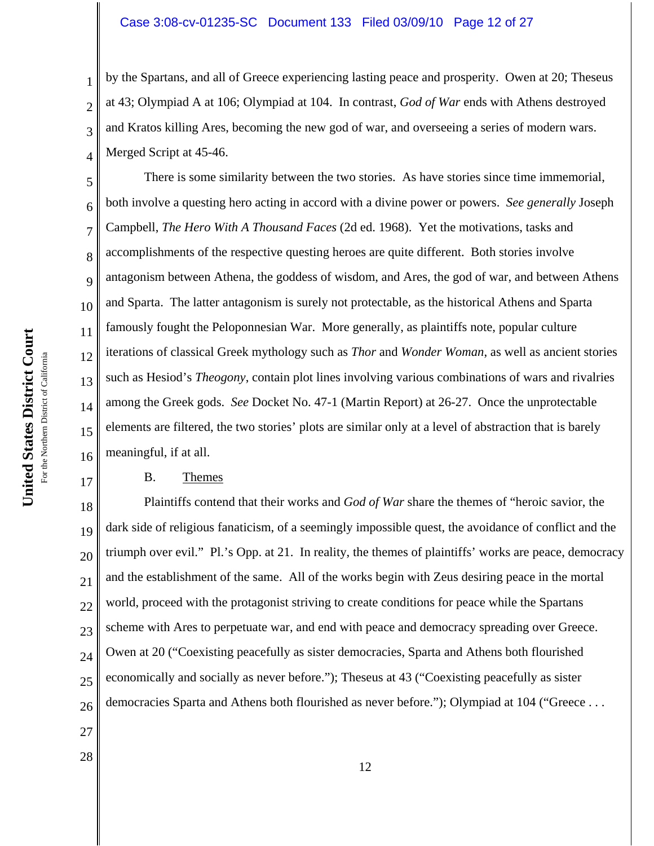#### Case 3:08-cv-01235-SC Document 133 Filed 03/09/10 Page 12 of 27

by the Spartans, and all of Greece experiencing lasting peace and prosperity. Owen at 20; Theseus at 43; Olympiad A at 106; Olympiad at 104. In contrast, *God of War* ends with Athens destroyed and Kratos killing Ares, becoming the new god of war, and overseeing a series of modern wars. Merged Script at 45-46.

5 6 7 8 9 10 12 13 14 15 16 There is some similarity between the two stories. As have stories since time immemorial, both involve a questing hero acting in accord with a divine power or powers. *See generally* Joseph Campbell, *The Hero With A Thousand Faces* (2d ed. 1968). Yet the motivations, tasks and accomplishments of the respective questing heroes are quite different. Both stories involve antagonism between Athena, the goddess of wisdom, and Ares, the god of war, and between Athens and Sparta. The latter antagonism is surely not protectable, as the historical Athens and Sparta famously fought the Peloponnesian War. More generally, as plaintiffs note, popular culture iterations of classical Greek mythology such as *Thor* and *Wonder Woman*, as well as ancient stories such as Hesiod's *Theogony*, contain plot lines involving various combinations of wars and rivalries among the Greek gods. *See* Docket No. 47-1 (Martin Report) at 26-27. Once the unprotectable elements are filtered, the two stories' plots are similar only at a level of abstraction that is barely meaningful, if at all.

### B. Themes

18 19 20 21 22 23 24 25 26 Plaintiffs contend that their works and *God of War* share the themes of "heroic savior, the dark side of religious fanaticism, of a seemingly impossible quest, the avoidance of conflict and the triumph over evil." Pl.'s Opp. at 21. In reality, the themes of plaintiffs' works are peace, democracy and the establishment of the same. All of the works begin with Zeus desiring peace in the mortal world, proceed with the protagonist striving to create conditions for peace while the Spartans scheme with Ares to perpetuate war, and end with peace and democracy spreading over Greece. Owen at 20 ("Coexisting peacefully as sister democracies, Sparta and Athens both flourished economically and socially as never before."); Theseus at 43 ("Coexisting peacefully as sister democracies Sparta and Athens both flourished as never before."); Olympiad at 104 ("Greece . . .

United States District Court **United States District Court** For the Northern District of California For the Northern District of California 1

2

3

4

11

17

27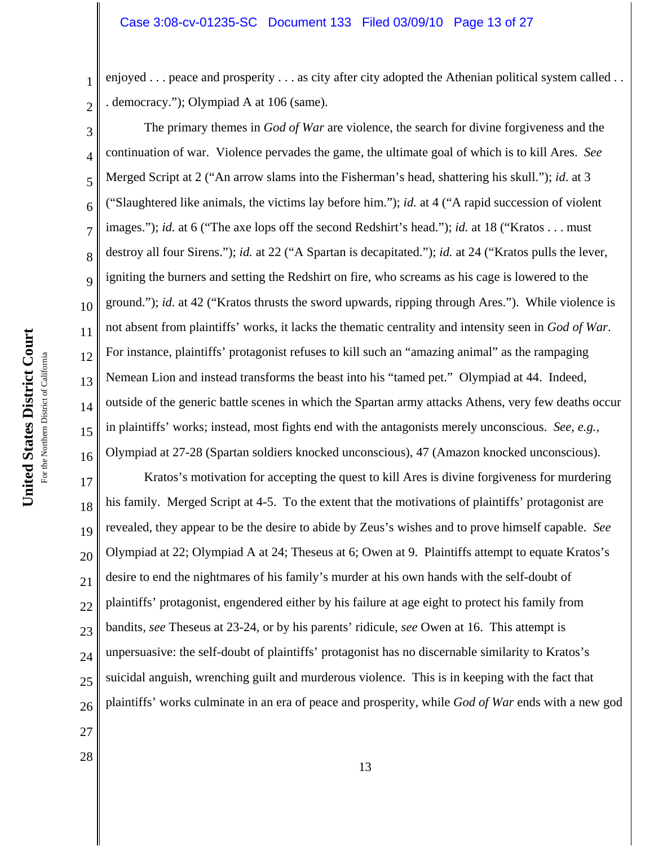enjoyed . . . peace and prosperity . . . as city after city adopted the Athenian political system called . . . democracy."); Olympiad A at 106 (same).

3 4 5 6 7 8 9 10 12 13 14 15 16 The primary themes in *God of War* are violence, the search for divine forgiveness and the continuation of war. Violence pervades the game, the ultimate goal of which is to kill Ares. *See* Merged Script at 2 ("An arrow slams into the Fisherman's head, shattering his skull."); *id*. at 3 ("Slaughtered like animals, the victims lay before him."); *id.* at 4 ("A rapid succession of violent images."); *id.* at 6 ("The axe lops off the second Redshirt's head."); *id.* at 18 ("Kratos . . . must destroy all four Sirens."); *id.* at 22 ("A Spartan is decapitated."); *id.* at 24 ("Kratos pulls the lever, igniting the burners and setting the Redshirt on fire, who screams as his cage is lowered to the ground."); *id.* at 42 ("Kratos thrusts the sword upwards, ripping through Ares."). While violence is not absent from plaintiffs' works, it lacks the thematic centrality and intensity seen in *God of War*. For instance, plaintiffs' protagonist refuses to kill such an "amazing animal" as the rampaging Nemean Lion and instead transforms the beast into his "tamed pet." Olympiad at 44. Indeed, outside of the generic battle scenes in which the Spartan army attacks Athens, very few deaths occur in plaintiffs' works; instead, most fights end with the antagonists merely unconscious. *See, e.g.*, Olympiad at 27-28 (Spartan soldiers knocked unconscious), 47 (Amazon knocked unconscious).

17 18 19 20 21 22 23 24 25 26 Kratos's motivation for accepting the quest to kill Ares is divine forgiveness for murdering his family. Merged Script at 4-5. To the extent that the motivations of plaintiffs' protagonist are revealed, they appear to be the desire to abide by Zeus's wishes and to prove himself capable. *See* Olympiad at 22; Olympiad A at 24; Theseus at 6; Owen at 9. Plaintiffs attempt to equate Kratos's desire to end the nightmares of his family's murder at his own hands with the self-doubt of plaintiffs' protagonist, engendered either by his failure at age eight to protect his family from bandits, *see* Theseus at 23-24, or by his parents' ridicule, *see* Owen at 16. This attempt is unpersuasive: the self-doubt of plaintiffs' protagonist has no discernable similarity to Kratos's suicidal anguish, wrenching guilt and murderous violence. This is in keeping with the fact that plaintiffs' works culminate in an era of peace and prosperity, while *God of War* ends with a new god

- 27
- 28

1

2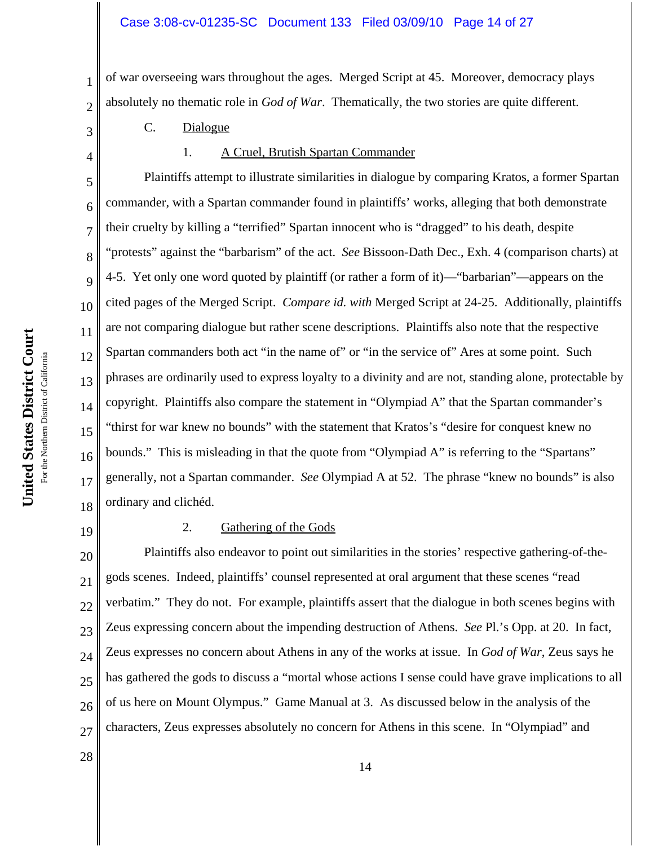of war overseeing wars throughout the ages. Merged Script at 45. Moreover, democracy plays absolutely no thematic role in *God of War*. Thematically, the two stories are quite different.

- C. Dialogue
- 4

1

2

3

5

6

7

8

9

11

12

14

15

17

1. A Cruel, Brutish Spartan Commander

10 13 16 18 Plaintiffs attempt to illustrate similarities in dialogue by comparing Kratos, a former Spartan commander, with a Spartan commander found in plaintiffs' works, alleging that both demonstrate their cruelty by killing a "terrified" Spartan innocent who is "dragged" to his death, despite "protests" against the "barbarism" of the act. *See* Bissoon-Dath Dec., Exh. 4 (comparison charts) at 4-5. Yet only one word quoted by plaintiff (or rather a form of it)—"barbarian"—appears on the cited pages of the Merged Script. *Compare id. with* Merged Script at 24-25. Additionally, plaintiffs are not comparing dialogue but rather scene descriptions. Plaintiffs also note that the respective Spartan commanders both act "in the name of" or "in the service of" Ares at some point. Such phrases are ordinarily used to express loyalty to a divinity and are not, standing alone, protectable by copyright. Plaintiffs also compare the statement in "Olympiad A" that the Spartan commander's "thirst for war knew no bounds" with the statement that Kratos's "desire for conquest knew no bounds." This is misleading in that the quote from "Olympiad A" is referring to the "Spartans" generally, not a Spartan commander. *See* Olympiad A at 52. The phrase "knew no bounds" is also ordinary and clichéd.

19

28

#### 2. Gathering of the Gods

20 21 22 23 24 25 26 27 Plaintiffs also endeavor to point out similarities in the stories' respective gathering-of-thegods scenes. Indeed, plaintiffs' counsel represented at oral argument that these scenes "read verbatim." They do not. For example, plaintiffs assert that the dialogue in both scenes begins with Zeus expressing concern about the impending destruction of Athens. *See* Pl.'s Opp. at 20. In fact, Zeus expresses no concern about Athens in any of the works at issue. In *God of War*, Zeus says he has gathered the gods to discuss a "mortal whose actions I sense could have grave implications to all of us here on Mount Olympus." Game Manual at 3. As discussed below in the analysis of the characters, Zeus expresses absolutely no concern for Athens in this scene. In "Olympiad" and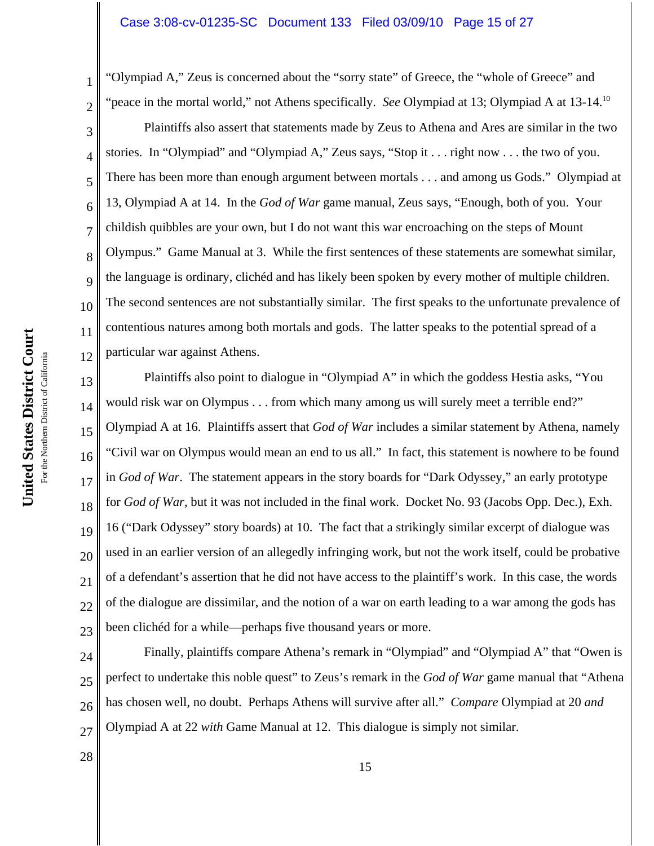"Olympiad A," Zeus is concerned about the "sorry state" of Greece, the "whole of Greece" and "peace in the mortal world," not Athens specifically. *See* Olympiad at 13; Olympiad A at 13-14.10 Plaintiffs also assert that statements made by Zeus to Athena and Ares are similar in the two stories. In "Olympiad" and "Olympiad A," Zeus says, "Stop it . . . right now . . . the two of you. There has been more than enough argument between mortals . . . and among us Gods." Olympiad at 13, Olympiad A at 14. In the *God of War* game manual, Zeus says, "Enough, both of you. Your childish quibbles are your own, but I do not want this war encroaching on the steps of Mount Olympus." Game Manual at 3. While the first sentences of these statements are somewhat similar, the language is ordinary, clichéd and has likely been spoken by every mother of multiple children. The second sentences are not substantially similar. The first speaks to the unfortunate prevalence of contentious natures among both mortals and gods. The latter speaks to the potential spread of a particular war against Athens.

13 14 15 16 17 18 19 20 21 22 23 Plaintiffs also point to dialogue in "Olympiad A" in which the goddess Hestia asks, "You would risk war on Olympus . . . from which many among us will surely meet a terrible end?" Olympiad A at 16. Plaintiffs assert that *God of War* includes a similar statement by Athena, namely "Civil war on Olympus would mean an end to us all." In fact, this statement is nowhere to be found in *God of War*. The statement appears in the story boards for "Dark Odyssey," an early prototype for *God of War*, but it was not included in the final work. Docket No. 93 (Jacobs Opp. Dec.), Exh. 16 ("Dark Odyssey" story boards) at 10. The fact that a strikingly similar excerpt of dialogue was used in an earlier version of an allegedly infringing work, but not the work itself, could be probative of a defendant's assertion that he did not have access to the plaintiff's work. In this case, the words of the dialogue are dissimilar, and the notion of a war on earth leading to a war among the gods has been clichéd for a while—perhaps five thousand years or more.

24 25 26 27 Finally, plaintiffs compare Athena's remark in "Olympiad" and "Olympiad A" that "Owen is perfect to undertake this noble quest" to Zeus's remark in the *God of War* game manual that "Athena has chosen well, no doubt. Perhaps Athens will survive after all." *Compare* Olympiad at 20 *and* Olympiad A at 22 *with* Game Manual at 12. This dialogue is simply not similar.

United States District Court **United States District Court** For the Northern District of California For the Northern District of California 1

2

3

4

5

6

7

8

9

10

11

12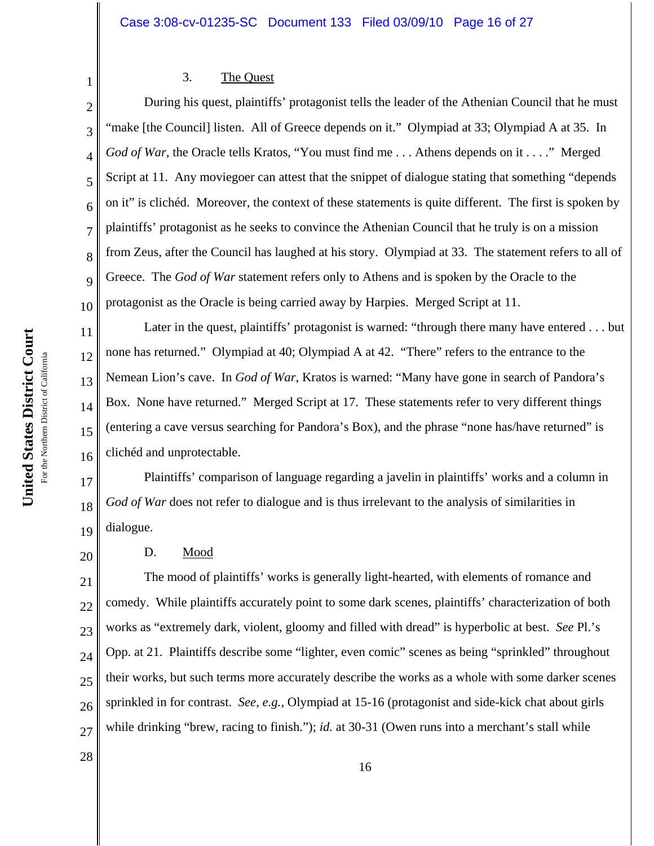### 3. The Quest

2 3 4 5 6 7 8 9 10 During his quest, plaintiffs' protagonist tells the leader of the Athenian Council that he must "make [the Council] listen. All of Greece depends on it." Olympiad at 33; Olympiad A at 35. In *God of War*, the Oracle tells Kratos, "You must find me . . . Athens depends on it . . . ." Merged Script at 11. Any moviegoer can attest that the snippet of dialogue stating that something "depends on it" is clichéd. Moreover, the context of these statements is quite different. The first is spoken by plaintiffs' protagonist as he seeks to convince the Athenian Council that he truly is on a mission from Zeus, after the Council has laughed at his story. Olympiad at 33. The statement refers to all of Greece. The *God of War* statement refers only to Athens and is spoken by the Oracle to the protagonist as the Oracle is being carried away by Harpies. Merged Script at 11.

Later in the quest, plaintiffs' protagonist is warned: "through there many have entered . . . but none has returned." Olympiad at 40; Olympiad A at 42. "There" refers to the entrance to the Nemean Lion's cave. In *God of War*, Kratos is warned: "Many have gone in search of Pandora's Box. None have returned." Merged Script at 17. These statements refer to very different things (entering a cave versus searching for Pandora's Box), and the phrase "none has/have returned" is clichéd and unprotectable.

17 18 19 Plaintiffs' comparison of language regarding a javelin in plaintiffs' works and a column in *God of War* does not refer to dialogue and is thus irrelevant to the analysis of similarities in dialogue.

### D. Mood

21 22 23 24 25 26 27 The mood of plaintiffs' works is generally light-hearted, with elements of romance and comedy. While plaintiffs accurately point to some dark scenes, plaintiffs' characterization of both works as "extremely dark, violent, gloomy and filled with dread" is hyperbolic at best. *See* Pl.'s Opp. at 21. Plaintiffs describe some "lighter, even comic" scenes as being "sprinkled" throughout their works, but such terms more accurately describe the works as a whole with some darker scenes sprinkled in for contrast. *See*, *e.g.*, Olympiad at 15-16 (protagonist and side-kick chat about girls while drinking "brew, racing to finish."); *id.* at 30-31 (Owen runs into a merchant's stall while

16

1

11

12

13

14

15

16

20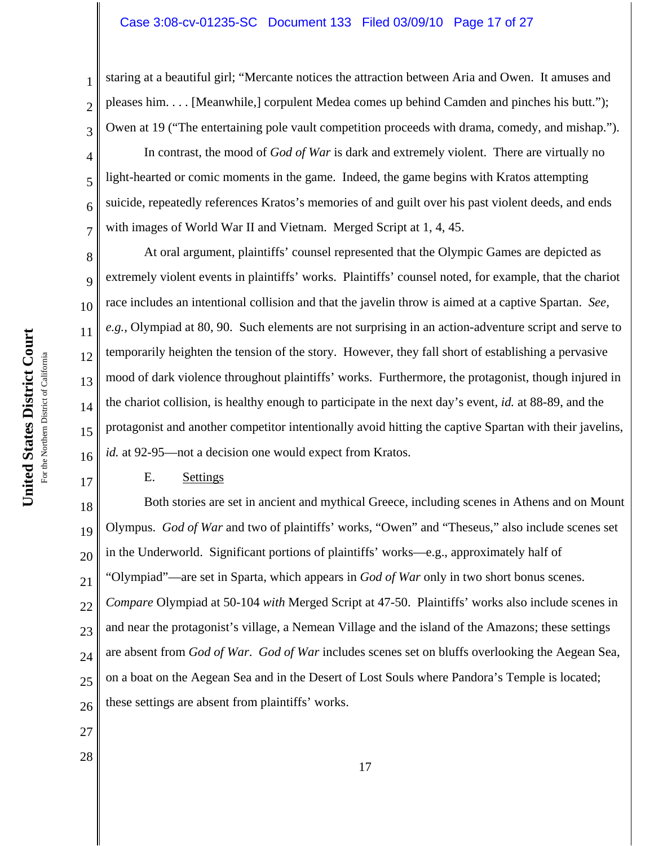### Case 3:08-cv-01235-SC Document 133 Filed 03/09/10 Page 17 of 27

staring at a beautiful girl; "Mercante notices the attraction between Aria and Owen. It amuses and pleases him. . . . [Meanwhile,] corpulent Medea comes up behind Camden and pinches his butt."); Owen at 19 ("The entertaining pole vault competition proceeds with drama, comedy, and mishap.").

In contrast, the mood of *God of War* is dark and extremely violent. There are virtually no light-hearted or comic moments in the game. Indeed, the game begins with Kratos attempting suicide, repeatedly references Kratos's memories of and guilt over his past violent deeds, and ends with images of World War II and Vietnam. Merged Script at 1, 4, 45.

8 10 13 16 At oral argument, plaintiffs' counsel represented that the Olympic Games are depicted as extremely violent events in plaintiffs' works. Plaintiffs' counsel noted, for example, that the chariot race includes an intentional collision and that the javelin throw is aimed at a captive Spartan. *See, e.g.*, Olympiad at 80, 90. Such elements are not surprising in an action-adventure script and serve to temporarily heighten the tension of the story. However, they fall short of establishing a pervasive mood of dark violence throughout plaintiffs' works. Furthermore, the protagonist, though injured in the chariot collision, is healthy enough to participate in the next day's event, *id.* at 88-89, and the protagonist and another competitor intentionally avoid hitting the captive Spartan with their javelins, *id.* at 92-95—not a decision one would expect from Kratos.

### E. Settings

18 19 20 21 22 23 24 25 26 Both stories are set in ancient and mythical Greece, including scenes in Athens and on Mount Olympus. *God of War* and two of plaintiffs' works, "Owen" and "Theseus," also include scenes set in the Underworld. Significant portions of plaintiffs' works—e.g., approximately half of "Olympiad"—are set in Sparta, which appears in *God of War* only in two short bonus scenes. *Compare* Olympiad at 50-104 *with* Merged Script at 47-50. Plaintiffs' works also include scenes in and near the protagonist's village, a Nemean Village and the island of the Amazons; these settings are absent from *God of War*. *God of War* includes scenes set on bluffs overlooking the Aegean Sea, on a boat on the Aegean Sea and in the Desert of Lost Souls where Pandora's Temple is located; these settings are absent from plaintiffs' works.

- 27
- 28

1

2

3

4

5

6

7

9

11

12

14

15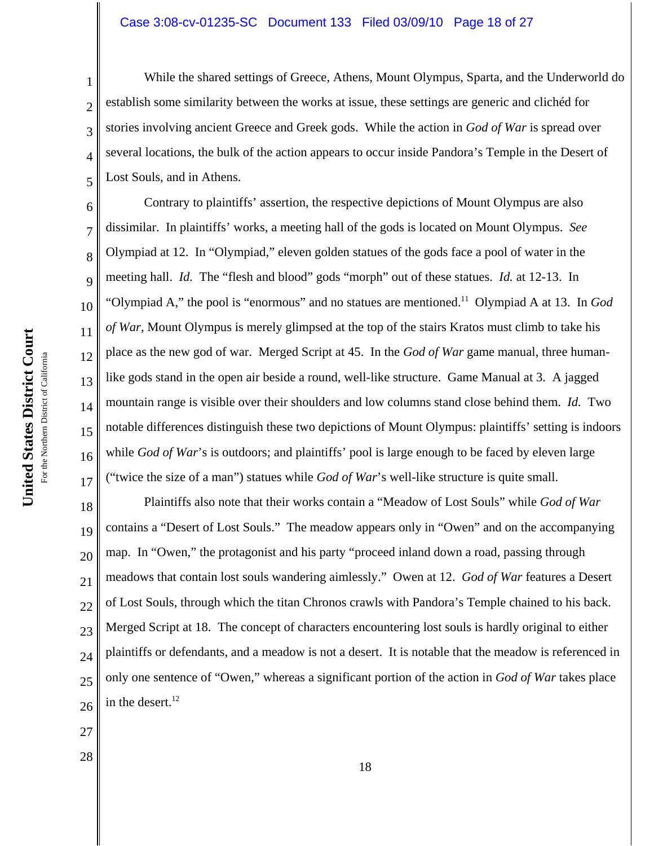# Case 3:08-cv-01235-SC Document 133 Filed 03/09/10 Page 18 of 27

While the shared settings of Greece, Athens, Mount Olympus, Sparta, and the Underworld do establish some similarity between the works at issue, these settings are generic and clichéd for stories involving ancient Greece and Greek gods. While the action in *God of War* is spread over several locations, the bulk of the action appears to occur inside Pandora's Temple in the Desert of Lost Souls, and in Athens.

6 7 8 9 10 12 13 14 15 16 17 Contrary to plaintiffs' assertion, the respective depictions of Mount Olympus are also dissimilar. In plaintiffs' works, a meeting hall of the gods is located on Mount Olympus. *See* Olympiad at 12. In "Olympiad," eleven golden statues of the gods face a pool of water in the meeting hall. *Id.* The "flesh and blood" gods "morph" out of these statues. *Id.* at 12-13. In "Olympiad A," the pool is "enormous" and no statues are mentioned.11 Olympiad A at 13. In *God of War*, Mount Olympus is merely glimpsed at the top of the stairs Kratos must climb to take his place as the new god of war. Merged Script at 45. In the *God of War* game manual, three humanlike gods stand in the open air beside a round, well-like structure. Game Manual at 3. A jagged mountain range is visible over their shoulders and low columns stand close behind them. *Id.* Two notable differences distinguish these two depictions of Mount Olympus: plaintiffs' setting is indoors while *God of War's* is outdoors; and plaintiffs' pool is large enough to be faced by eleven large ("twice the size of a man") statues while *God of War*'s well-like structure is quite small.

18 19 20 21 22 23 24 25 26 Plaintiffs also note that their works contain a "Meadow of Lost Souls" while *God of War* contains a "Desert of Lost Souls." The meadow appears only in "Owen" and on the accompanying map. In "Owen," the protagonist and his party "proceed inland down a road, passing through meadows that contain lost souls wandering aimlessly." Owen at 12. *God of War* features a Desert of Lost Souls, through which the titan Chronos crawls with Pandora's Temple chained to his back. Merged Script at 18. The concept of characters encountering lost souls is hardly original to either plaintiffs or defendants, and a meadow is not a desert. It is notable that the meadow is referenced in only one sentence of "Owen," whereas a significant portion of the action in *God of War* takes place in the desert. 12

- 27
- 28

1

2

3

4

5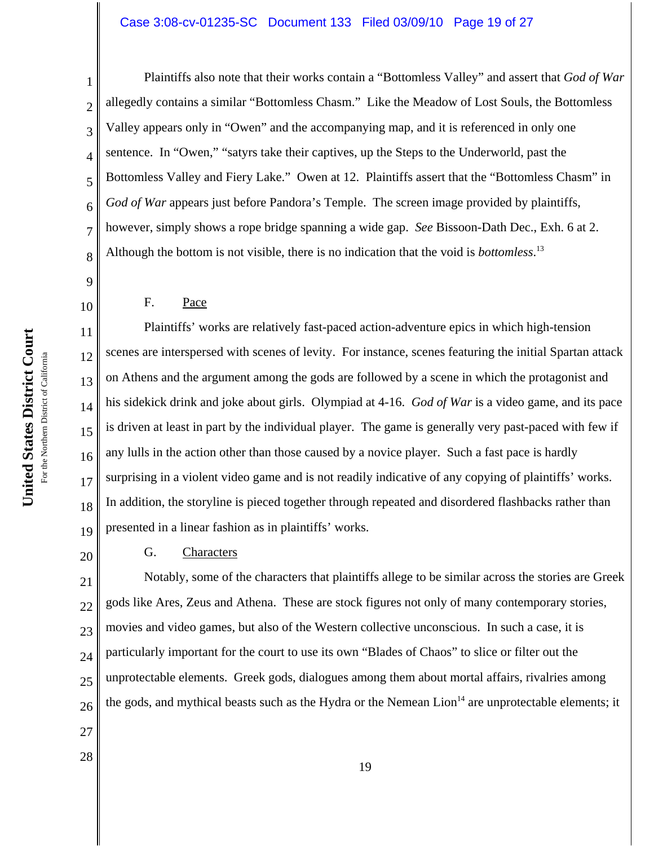## Case 3:08-cv-01235-SC Document 133 Filed 03/09/10 Page 19 of 27

1 2 3 4 5 6 7 8 Plaintiffs also note that their works contain a "Bottomless Valley" and assert that *God of War* allegedly contains a similar "Bottomless Chasm." Like the Meadow of Lost Souls, the Bottomless Valley appears only in "Owen" and the accompanying map, and it is referenced in only one sentence. In "Owen," "satyrs take their captives, up the Steps to the Underworld, past the Bottomless Valley and Fiery Lake." Owen at 12. Plaintiffs assert that the "Bottomless Chasm" in God of War appears just before Pandora's Temple. The screen image provided by plaintiffs, however, simply shows a rope bridge spanning a wide gap. *See* Bissoon-Dath Dec., Exh. 6 at 2. Although the bottom is not visible, there is no indication that the void is *bottomless*. 13

9

10

11

12

14

15

17

18

20

### F. Pace

13 16 19 Plaintiffs' works are relatively fast-paced action-adventure epics in which high-tension scenes are interspersed with scenes of levity. For instance, scenes featuring the initial Spartan attack on Athens and the argument among the gods are followed by a scene in which the protagonist and his sidekick drink and joke about girls. Olympiad at 4-16. *God of War* is a video game, and its pace is driven at least in part by the individual player. The game is generally very past-paced with few if any lulls in the action other than those caused by a novice player. Such a fast pace is hardly surprising in a violent video game and is not readily indicative of any copying of plaintiffs' works. In addition, the storyline is pieced together through repeated and disordered flashbacks rather than presented in a linear fashion as in plaintiffs' works.

### G. Characters

21 22 23 24 25 26 Notably, some of the characters that plaintiffs allege to be similar across the stories are Greek gods like Ares, Zeus and Athena. These are stock figures not only of many contemporary stories, movies and video games, but also of the Western collective unconscious. In such a case, it is particularly important for the court to use its own "Blades of Chaos" to slice or filter out the unprotectable elements. Greek gods, dialogues among them about mortal affairs, rivalries among the gods, and mythical beasts such as the Hydra or the Nemean  $L$ ion<sup>14</sup> are unprotectable elements; it

- 27
- 28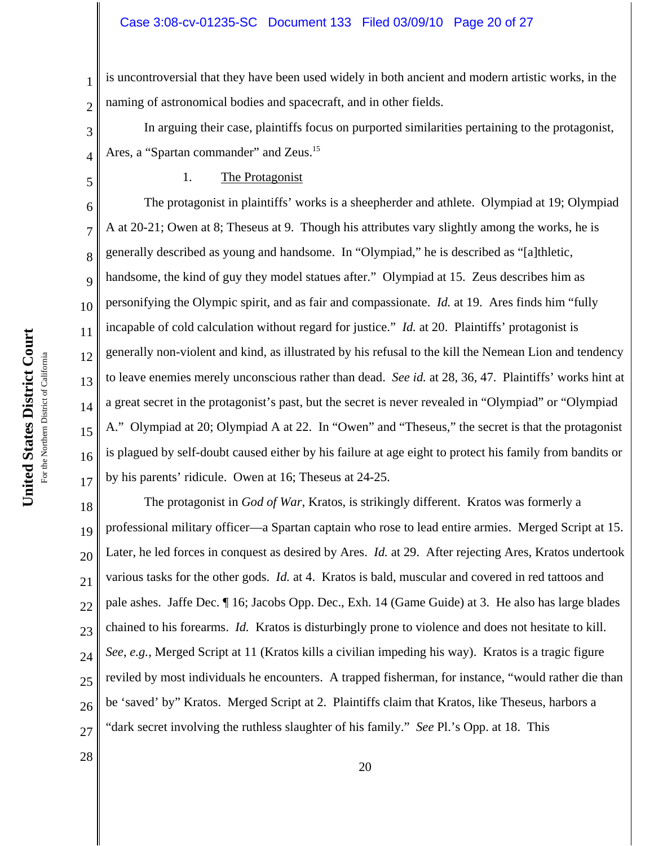#### Case 3:08-cv-01235-SC Document 133 Filed 03/09/10 Page 20 of 27

1 2 is uncontroversial that they have been used widely in both ancient and modern artistic works, in the naming of astronomical bodies and spacecraft, and in other fields.

In arguing their case, plaintiffs focus on purported similarities pertaining to the protagonist, Ares, a "Spartan commander" and Zeus.<sup>15</sup>

5

3

4

7

11

17

28

### 1. The Protagonist

6 8 9 10 12 13 14 15 16 The protagonist in plaintiffs' works is a sheepherder and athlete. Olympiad at 19; Olympiad A at 20-21; Owen at 8; Theseus at 9. Though his attributes vary slightly among the works, he is generally described as young and handsome. In "Olympiad," he is described as "[a]thletic, handsome, the kind of guy they model statues after." Olympiad at 15. Zeus describes him as personifying the Olympic spirit, and as fair and compassionate. *Id.* at 19. Ares finds him "fully incapable of cold calculation without regard for justice." *Id.* at 20. Plaintiffs' protagonist is generally non-violent and kind, as illustrated by his refusal to the kill the Nemean Lion and tendency to leave enemies merely unconscious rather than dead. *See id.* at 28, 36, 47. Plaintiffs' works hint at a great secret in the protagonist's past, but the secret is never revealed in "Olympiad" or "Olympiad A." Olympiad at 20; Olympiad A at 22. In "Owen" and "Theseus," the secret is that the protagonist is plagued by self-doubt caused either by his failure at age eight to protect his family from bandits or by his parents' ridicule. Owen at 16; Theseus at 24-25.

18 19 20 21 22 23 24 25 26 27 The protagonist in *God of War*, Kratos, is strikingly different. Kratos was formerly a professional military officer—a Spartan captain who rose to lead entire armies. Merged Script at 15. Later, he led forces in conquest as desired by Ares. *Id.* at 29. After rejecting Ares, Kratos undertook various tasks for the other gods. *Id.* at 4. Kratos is bald, muscular and covered in red tattoos and pale ashes. Jaffe Dec. ¶ 16; Jacobs Opp. Dec., Exh. 14 (Game Guide) at 3. He also has large blades chained to his forearms. *Id.* Kratos is disturbingly prone to violence and does not hesitate to kill. *See*, *e.g.*, Merged Script at 11 (Kratos kills a civilian impeding his way). Kratos is a tragic figure reviled by most individuals he encounters. A trapped fisherman, for instance, "would rather die than be 'saved' by" Kratos. Merged Script at 2. Plaintiffs claim that Kratos, like Theseus, harbors a "dark secret involving the ruthless slaughter of his family." *See* Pl.'s Opp. at 18. This

United States District Court **United States District Court** For the Northern District of California For the Northern District of California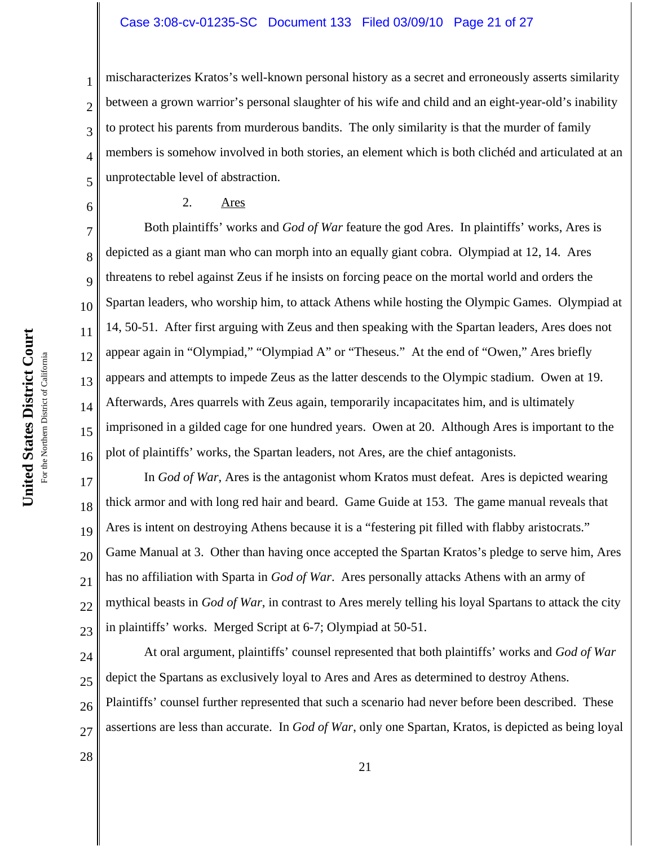#### Case 3:08-cv-01235-SC Document 133 Filed 03/09/10 Page 21 of 27

mischaracterizes Kratos's well-known personal history as a secret and erroneously asserts similarity between a grown warrior's personal slaughter of his wife and child and an eight-year-old's inability to protect his parents from murderous bandits. The only similarity is that the murder of family members is somehow involved in both stories, an element which is both clichéd and articulated at an unprotectable level of abstraction.

### 2. Ares

10 13 16 Both plaintiffs' works and *God of War* feature the god Ares. In plaintiffs' works, Ares is depicted as a giant man who can morph into an equally giant cobra. Olympiad at 12, 14. Ares threatens to rebel against Zeus if he insists on forcing peace on the mortal world and orders the Spartan leaders, who worship him, to attack Athens while hosting the Olympic Games. Olympiad at 14, 50-51. After first arguing with Zeus and then speaking with the Spartan leaders, Ares does not appear again in "Olympiad," "Olympiad A" or "Theseus." At the end of "Owen," Ares briefly appears and attempts to impede Zeus as the latter descends to the Olympic stadium. Owen at 19. Afterwards, Ares quarrels with Zeus again, temporarily incapacitates him, and is ultimately imprisoned in a gilded cage for one hundred years. Owen at 20. Although Ares is important to the plot of plaintiffs' works, the Spartan leaders, not Ares, are the chief antagonists.

17 18 19 20 21 22 23 In *God of War*, Ares is the antagonist whom Kratos must defeat. Ares is depicted wearing thick armor and with long red hair and beard. Game Guide at 153. The game manual reveals that Ares is intent on destroying Athens because it is a "festering pit filled with flabby aristocrats." Game Manual at 3. Other than having once accepted the Spartan Kratos's pledge to serve him, Ares has no affiliation with Sparta in *God of War*. Ares personally attacks Athens with an army of mythical beasts in *God of War*, in contrast to Ares merely telling his loyal Spartans to attack the city in plaintiffs' works. Merged Script at 6-7; Olympiad at 50-51.

24 25 26 27 At oral argument, plaintiffs' counsel represented that both plaintiffs' works and *God of War* depict the Spartans as exclusively loyal to Ares and Ares as determined to destroy Athens. Plaintiffs' counsel further represented that such a scenario had never before been described. These assertions are less than accurate. In *God of War*, only one Spartan, Kratos, is depicted as being loyal

United States District Court **United States District Court** For the Northern District of California For the Northern District of California 1

2

3

4

5

6

7

8

9

11

12

14

15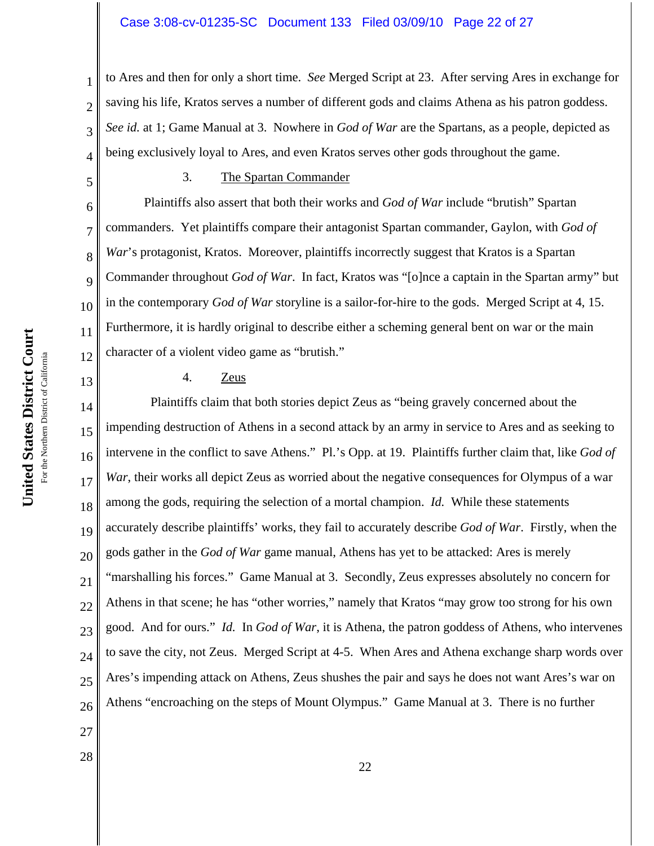#### Case 3:08-cv-01235-SC Document 133 Filed 03/09/10 Page 22 of 27

to Ares and then for only a short time. *See* Merged Script at 23. After serving Ares in exchange for saving his life, Kratos serves a number of different gods and claims Athena as his patron goddess. *See id.* at 1; Game Manual at 3. Nowhere in *God of War* are the Spartans, as a people, depicted as being exclusively loyal to Ares, and even Kratos serves other gods throughout the game.

5

6

7

8

9

10

11

12

13

27

28

1

2

3

4

#### 3. The Spartan Commander

Plaintiffs also assert that both their works and *God of War* include "brutish" Spartan commanders. Yet plaintiffs compare their antagonist Spartan commander, Gaylon, with *God of* War's protagonist, Kratos. Moreover, plaintiffs incorrectly suggest that Kratos is a Spartan Commander throughout *God of War*. In fact, Kratos was "[o]nce a captain in the Spartan army" but in the contemporary *God of War* storyline is a sailor-for-hire to the gods. Merged Script at 4, 15. Furthermore, it is hardly original to describe either a scheming general bent on war or the main character of a violent video game as "brutish."

### 4. Zeus

14 15 16 17 18 19 20 21 22 23 24 25 26 Plaintiffs claim that both stories depict Zeus as "being gravely concerned about the impending destruction of Athens in a second attack by an army in service to Ares and as seeking to intervene in the conflict to save Athens." Pl.'s Opp. at 19. Plaintiffs further claim that, like *God of War*, their works all depict Zeus as worried about the negative consequences for Olympus of a war among the gods, requiring the selection of a mortal champion. *Id.* While these statements accurately describe plaintiffs' works, they fail to accurately describe *God of War*. Firstly, when the gods gather in the *God of War* game manual, Athens has yet to be attacked: Ares is merely "marshalling his forces." Game Manual at 3. Secondly, Zeus expresses absolutely no concern for Athens in that scene; he has "other worries," namely that Kratos "may grow too strong for his own good. And for ours." *Id.* In *God of War*, it is Athena, the patron goddess of Athens, who intervenes to save the city, not Zeus. Merged Script at 4-5. When Ares and Athena exchange sharp words over Ares's impending attack on Athens, Zeus shushes the pair and says he does not want Ares's war on Athens "encroaching on the steps of Mount Olympus." Game Manual at 3. There is no further

United States District Court **United States District Court** For the Northern District of California For the Northern District of California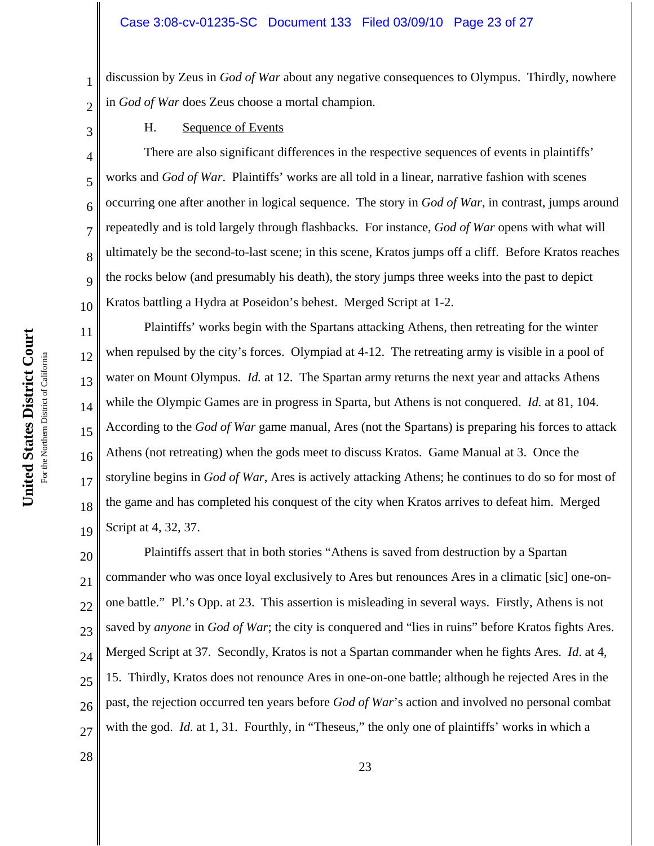discussion by Zeus in *God of War* about any negative consequences to Olympus. Thirdly, nowhere in *God of War* does Zeus choose a mortal champion.

H. Sequence of Events

10 There are also significant differences in the respective sequences of events in plaintiffs' works and *God of War*. Plaintiffs' works are all told in a linear, narrative fashion with scenes occurring one after another in logical sequence. The story in *God of War*, in contrast, jumps around repeatedly and is told largely through flashbacks. For instance, *God of War* opens with what will ultimately be the second-to-last scene; in this scene, Kratos jumps off a cliff. Before Kratos reaches the rocks below (and presumably his death), the story jumps three weeks into the past to depict Kratos battling a Hydra at Poseidon's behest. Merged Script at 1-2.

Plaintiffs' works begin with the Spartans attacking Athens, then retreating for the winter when repulsed by the city's forces. Olympiad at 4-12. The retreating army is visible in a pool of water on Mount Olympus. *Id.* at 12. The Spartan army returns the next year and attacks Athens while the Olympic Games are in progress in Sparta, but Athens is not conquered. *Id.* at 81, 104. According to the *God of War* game manual, Ares (not the Spartans) is preparing his forces to attack Athens (not retreating) when the gods meet to discuss Kratos. Game Manual at 3. Once the storyline begins in *God of War*, Ares is actively attacking Athens; he continues to do so for most of the game and has completed his conquest of the city when Kratos arrives to defeat him. Merged Script at 4, 32, 37.

20 21 22 23 24 25 26 27 Plaintiffs assert that in both stories "Athens is saved from destruction by a Spartan commander who was once loyal exclusively to Ares but renounces Ares in a climatic [sic] one-onone battle." Pl.'s Opp. at 23. This assertion is misleading in several ways. Firstly, Athens is not saved by *anyone* in *God of War*; the city is conquered and "lies in ruins" before Kratos fights Ares. Merged Script at 37. Secondly, Kratos is not a Spartan commander when he fights Ares. *Id*. at 4, 15. Thirdly, Kratos does not renounce Ares in one-on-one battle; although he rejected Ares in the past, the rejection occurred ten years before *God of War*'s action and involved no personal combat with the god. *Id.* at 1, 31. Fourthly, in "Theseus," the only one of plaintiffs' works in which a

1

2

3

4

5

6

7

8

9

11

12

13

14

15

16

17

18

19

28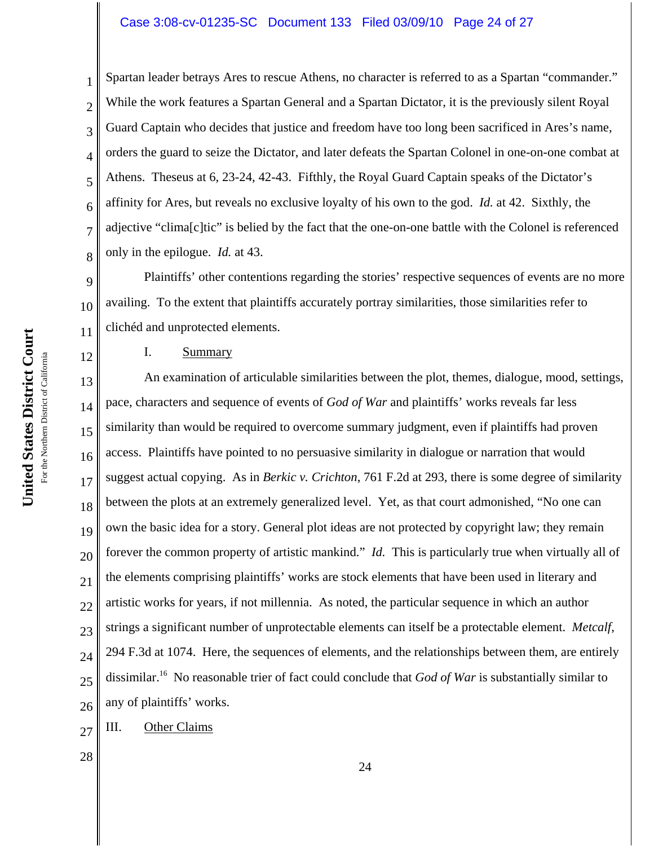## Case 3:08-cv-01235-SC Document 133 Filed 03/09/10 Page 24 of 27

Spartan leader betrays Ares to rescue Athens, no character is referred to as a Spartan "commander." While the work features a Spartan General and a Spartan Dictator, it is the previously silent Royal Guard Captain who decides that justice and freedom have too long been sacrificed in Ares's name, orders the guard to seize the Dictator, and later defeats the Spartan Colonel in one-on-one combat at Athens. Theseus at 6, 23-24, 42-43. Fifthly, the Royal Guard Captain speaks of the Dictator's affinity for Ares, but reveals no exclusive loyalty of his own to the god. *Id.* at 42. Sixthly, the adjective "clima[c]tic" is belied by the fact that the one-on-one battle with the Colonel is referenced only in the epilogue. *Id.* at 43.

9 10 11 Plaintiffs' other contentions regarding the stories' respective sequences of events are no more availing. To the extent that plaintiffs accurately portray similarities, those similarities refer to clichéd and unprotected elements.

### I. Summary

13 14 15 16 17 18 19 20 21 22 23 24 25 26 An examination of articulable similarities between the plot, themes, dialogue, mood, settings, pace, characters and sequence of events of *God of War* and plaintiffs' works reveals far less similarity than would be required to overcome summary judgment, even if plaintiffs had proven access. Plaintiffs have pointed to no persuasive similarity in dialogue or narration that would suggest actual copying. As in *Berkic v. Crichton*, 761 F.2d at 293, there is some degree of similarity between the plots at an extremely generalized level. Yet, as that court admonished, "No one can own the basic idea for a story. General plot ideas are not protected by copyright law; they remain forever the common property of artistic mankind." *Id.* This is particularly true when virtually all of the elements comprising plaintiffs' works are stock elements that have been used in literary and artistic works for years, if not millennia. As noted, the particular sequence in which an author strings a significant number of unprotectable elements can itself be a protectable element. *Metcalf*, 294 F.3d at 1074. Here, the sequences of elements, and the relationships between them, are entirely dissimilar.16 No reasonable trier of fact could conclude that *God of War* is substantially similar to any of plaintiffs' works.

27 III. Other Claims

28

1

2

3

4

5

6

7

8

12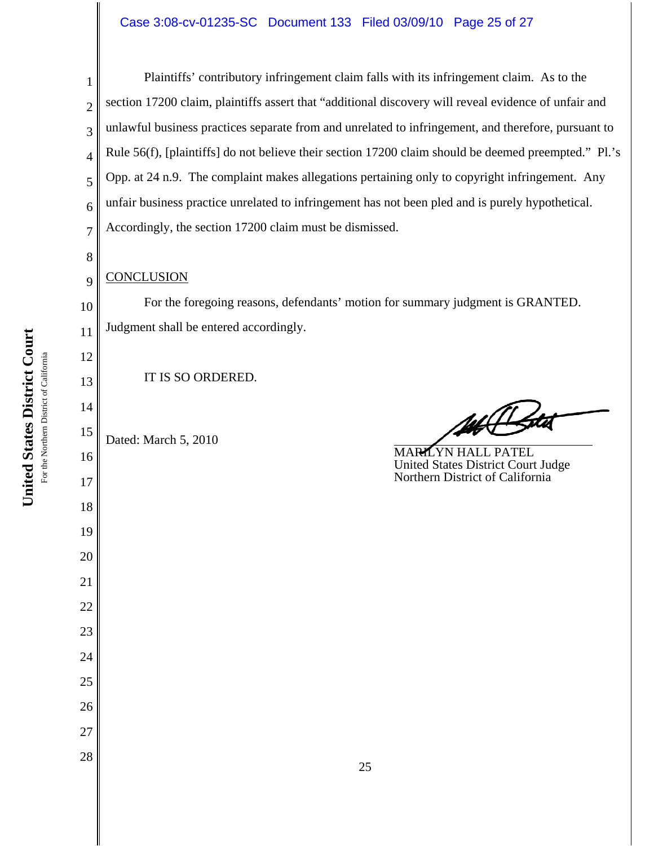### Case 3:08-cv-01235-SC Document 133 Filed 03/09/10 Page 25 of 27

2 3 4 5 6 7 Plaintiffs' contributory infringement claim falls with its infringement claim. As to the section 17200 claim, plaintiffs assert that "additional discovery will reveal evidence of unfair and unlawful business practices separate from and unrelated to infringement, and therefore, pursuant to Rule 56(f), [plaintiffs] do not believe their section 17200 claim should be deemed preempted." Pl.'s Opp. at 24 n.9. The complaint makes allegations pertaining only to copyright infringement. Any unfair business practice unrelated to infringement has not been pled and is purely hypothetical. Accordingly, the section 17200 claim must be dismissed.

### **CONCLUSION**

1

8

9

10

11

12

13

14

16

17

18

19

20

21

22

23

24

25

26

27

28

For the foregoing reasons, defendants' motion for summary judgment is GRANTED. Judgment shall be entered accordingly.

IT IS SO ORDERED.

15 Dated: March 5, 2010

MARILYN HALL PATEL United States District Court Judge Northern District of California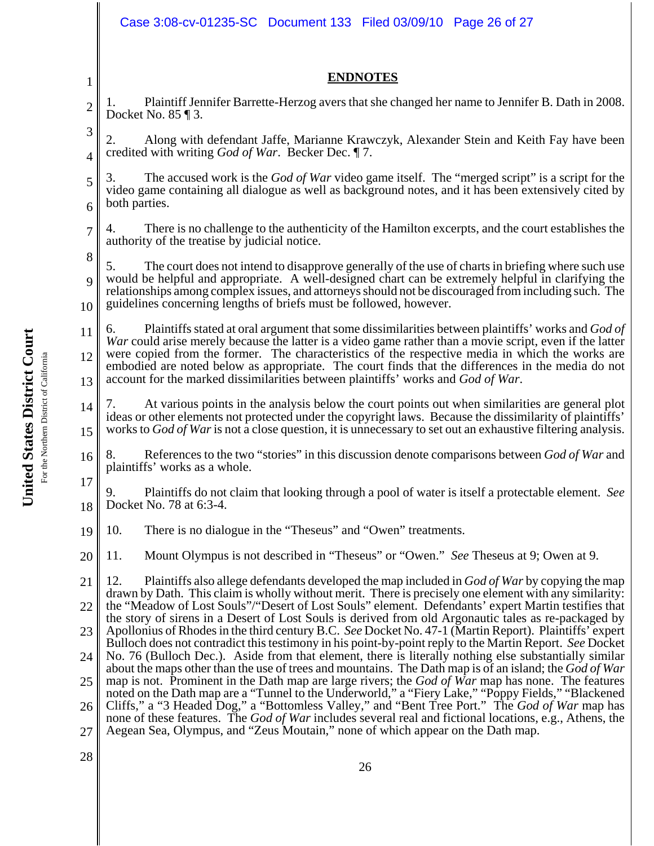|                        | Case 3:08-cv-01235-SC Document 133 Filed 03/09/10 Page 26 of 27                                                                                                                                                                                                                                                                                                                                                                                                                                                                                                                                                                                                                                                                                                                                                                                                                                                                                                                                                                                                                                                                                               |  |
|------------------------|---------------------------------------------------------------------------------------------------------------------------------------------------------------------------------------------------------------------------------------------------------------------------------------------------------------------------------------------------------------------------------------------------------------------------------------------------------------------------------------------------------------------------------------------------------------------------------------------------------------------------------------------------------------------------------------------------------------------------------------------------------------------------------------------------------------------------------------------------------------------------------------------------------------------------------------------------------------------------------------------------------------------------------------------------------------------------------------------------------------------------------------------------------------|--|
| 1                      | <b>ENDNOTES</b>                                                                                                                                                                                                                                                                                                                                                                                                                                                                                                                                                                                                                                                                                                                                                                                                                                                                                                                                                                                                                                                                                                                                               |  |
| 2                      | Plaintiff Jennifer Barrette-Herzog avers that she changed her name to Jennifer B. Dath in 2008.<br>1.<br>Docket No. $85 \text{ } \text{\ensuremath{\mathsf{I}}}\text{ } 3.$                                                                                                                                                                                                                                                                                                                                                                                                                                                                                                                                                                                                                                                                                                                                                                                                                                                                                                                                                                                   |  |
| 3<br>4                 | Along with defendant Jaffe, Marianne Krawczyk, Alexander Stein and Keith Fay have been<br>credited with writing <i>God of War</i> . Becker Dec. 17.                                                                                                                                                                                                                                                                                                                                                                                                                                                                                                                                                                                                                                                                                                                                                                                                                                                                                                                                                                                                           |  |
| 5<br>6                 | The accused work is the God of War video game itself. The "merged script" is a script for the<br>3.<br>video game containing all dialogue as well as background notes, and it has been extensively cited by<br>both parties.                                                                                                                                                                                                                                                                                                                                                                                                                                                                                                                                                                                                                                                                                                                                                                                                                                                                                                                                  |  |
| $\overline{7}$         | There is no challenge to the authenticity of the Hamilton excerpts, and the court establishes the<br>4.<br>authority of the treatise by judicial notice.                                                                                                                                                                                                                                                                                                                                                                                                                                                                                                                                                                                                                                                                                                                                                                                                                                                                                                                                                                                                      |  |
| 8<br>$\mathbf Q$<br>10 | 5.<br>The court does not intend to disapprove generally of the use of charts in briefing where such use<br>would be helpful and appropriate. A well-designed chart can be extremely helpful in clarifying the<br>relationships among complex issues, and attorneys should not be discouraged from including such. The<br>guidelines concerning lengths of briefs must be followed, however.                                                                                                                                                                                                                                                                                                                                                                                                                                                                                                                                                                                                                                                                                                                                                                   |  |
| 11<br>12<br>13         | Plaintiffs stated at oral argument that some dissimilarities between plaintiffs' works and God of<br>6.<br>War could arise merely because the latter is a video game rather than a movie script, even if the latter<br>were copied from the former. The characteristics of the respective media in which the works are<br>embodied are noted below as appropriate. The court finds that the differences in the media do not<br>account for the marked dissimilarities between plaintiffs' works and God of War.                                                                                                                                                                                                                                                                                                                                                                                                                                                                                                                                                                                                                                               |  |
| 14<br>15               | At various points in the analysis below the court points out when similarities are general plot<br>7.<br>ideas or other elements not protected under the copyright laws. Because the dissimilarity of plaintiffs'<br>works to God of War is not a close question, it is unnecessary to set out an exhaustive filtering analysis.                                                                                                                                                                                                                                                                                                                                                                                                                                                                                                                                                                                                                                                                                                                                                                                                                              |  |
| 16                     | References to the two "stories" in this discussion denote comparisons between God of War and<br>8.<br>plaintiffs' works as a whole.                                                                                                                                                                                                                                                                                                                                                                                                                                                                                                                                                                                                                                                                                                                                                                                                                                                                                                                                                                                                                           |  |
| 17 <sup>1</sup><br>18  | Plaintiffs do not claim that looking through a pool of water is itself a protectable element. See<br>9.<br>Docket No. 78 at 6:3-4.                                                                                                                                                                                                                                                                                                                                                                                                                                                                                                                                                                                                                                                                                                                                                                                                                                                                                                                                                                                                                            |  |
| 19                     | 10.<br>There is no dialogue in the "Theseus" and "Owen" treatments.                                                                                                                                                                                                                                                                                                                                                                                                                                                                                                                                                                                                                                                                                                                                                                                                                                                                                                                                                                                                                                                                                           |  |
| 20                     | Mount Olympus is not described in "Theseus" or "Owen." See Theseus at 9; Owen at 9.<br>11.                                                                                                                                                                                                                                                                                                                                                                                                                                                                                                                                                                                                                                                                                                                                                                                                                                                                                                                                                                                                                                                                    |  |
| 21                     | Plaintiffs also allege defendants developed the map included in God of War by copying the map<br>12.<br>drawn by Dath. This claim is wholly without merit. There is precisely one element with any similarity:                                                                                                                                                                                                                                                                                                                                                                                                                                                                                                                                                                                                                                                                                                                                                                                                                                                                                                                                                |  |
| 22                     | the "Meadow of Lost Souls"/"Desert of Lost Souls" element. Defendants' expert Martin testifies that<br>the story of sirens in a Desert of Lost Souls is derived from old Argonautic tales as re-packaged by<br>Apollonius of Rhodes in the third century B.C. See Docket No. 47-1 (Martin Report). Plaintiffs' expert<br>Bulloch does not contradict this testimony in his point-by-point reply to the Martin Report. See Docket<br>No. 76 (Bulloch Dec.). Aside from that element, there is literally nothing else substantially similar<br>about the maps other than the use of trees and mountains. The Dath map is of an island; the God of War<br>map is not. Prominent in the Dath map are large rivers; the God of War map has none. The features<br>noted on the Dath map are a "Tunnel to the Underworld," a "Fiery Lake," "Poppy Fields," "Blackened<br>Cliffs," a "3 Headed Dog," a "Bottomless Valley," and "Bent Tree Port." The God of War map has<br>none of these features. The God of War includes several real and fictional locations, e.g., Athens, the<br>Aegean Sea, Olympus, and "Zeus Moutain," none of which appear on the Dath map. |  |
| 23                     |                                                                                                                                                                                                                                                                                                                                                                                                                                                                                                                                                                                                                                                                                                                                                                                                                                                                                                                                                                                                                                                                                                                                                               |  |
| 24                     |                                                                                                                                                                                                                                                                                                                                                                                                                                                                                                                                                                                                                                                                                                                                                                                                                                                                                                                                                                                                                                                                                                                                                               |  |
| 25<br>26               |                                                                                                                                                                                                                                                                                                                                                                                                                                                                                                                                                                                                                                                                                                                                                                                                                                                                                                                                                                                                                                                                                                                                                               |  |
| 27                     |                                                                                                                                                                                                                                                                                                                                                                                                                                                                                                                                                                                                                                                                                                                                                                                                                                                                                                                                                                                                                                                                                                                                                               |  |
| 28                     | 26                                                                                                                                                                                                                                                                                                                                                                                                                                                                                                                                                                                                                                                                                                                                                                                                                                                                                                                                                                                                                                                                                                                                                            |  |

United States District Court **United States District Court** For the Northern District of California For the Northern District of California